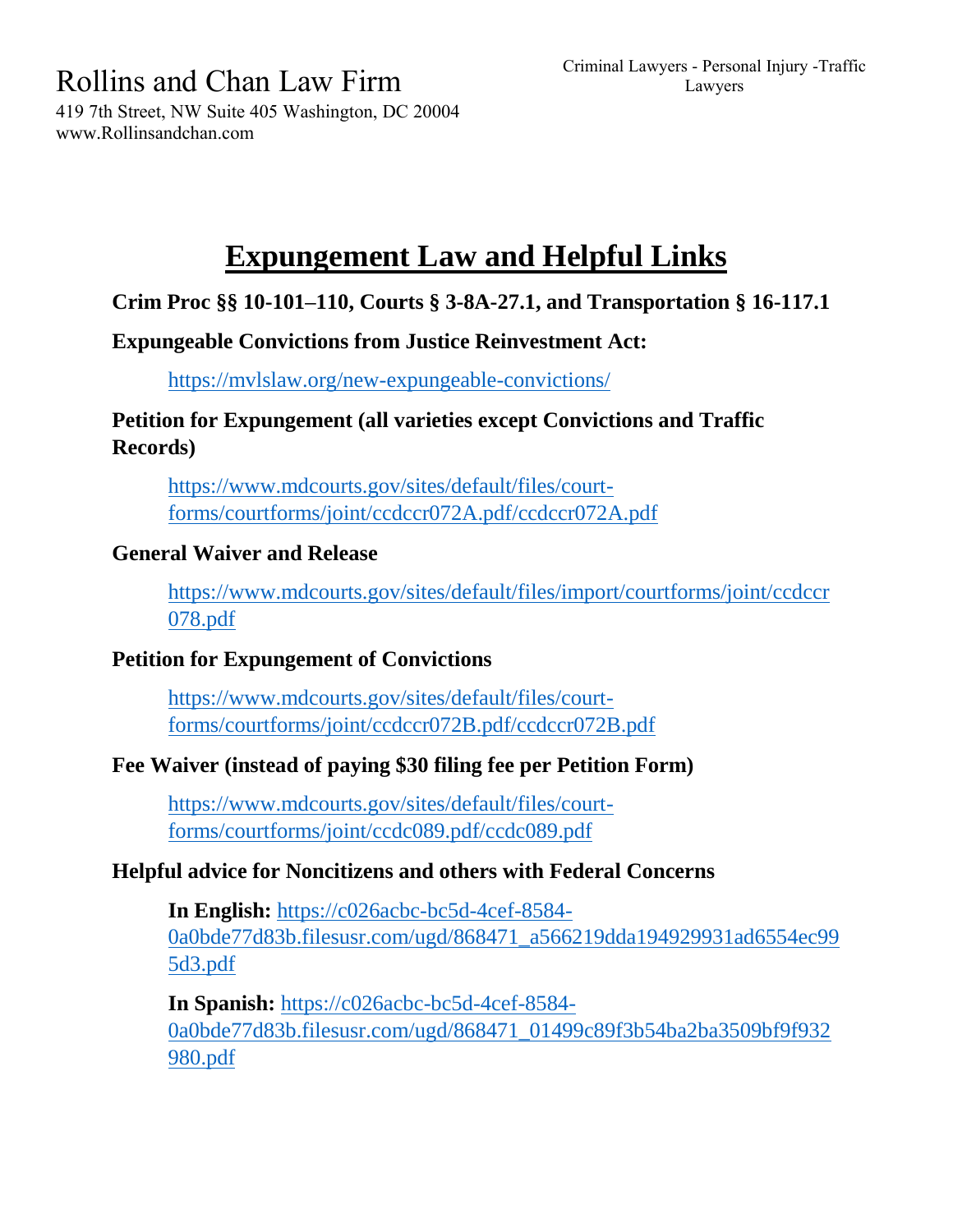Criminal Lawyers - Personal Injury -Traffic Lawyers

Rollins and Chan Law Firm

419 7th Street, NW Suite 405 Washington, DC 20004 www.Rollinsandchan.com

# **Expungement Law and Helpful Links**

# **Crim Proc §§ 10-101–110, Courts § 3-8A-27.1, and Transportation § 16-117.1**

# **Expungeable Convictions from Justice Reinvestment Act:**

<https://mvlslaw.org/new-expungeable-convictions/>

# **Petition for Expungement (all varieties except Convictions and Traffic Records)**

[https://www.mdcourts.gov/sites/default/files/court](https://www.mdcourts.gov/sites/default/files/court-forms/courtforms/joint/ccdccr072A.pdf/ccdccr072A.pdf)[forms/courtforms/joint/ccdccr072A.pdf/ccdccr072A.pdf](https://www.mdcourts.gov/sites/default/files/court-forms/courtforms/joint/ccdccr072A.pdf/ccdccr072A.pdf)

# **General Waiver and Release**

[https://www.mdcourts.gov/sites/default/files/import/courtforms/joint/ccdccr](https://www.mdcourts.gov/sites/default/files/import/courtforms/joint/ccdccr078.pdf) [078.pdf](https://www.mdcourts.gov/sites/default/files/import/courtforms/joint/ccdccr078.pdf)

# **Petition for Expungement of Convictions**

[https://www.mdcourts.gov/sites/default/files/court](https://www.mdcourts.gov/sites/default/files/court-forms/courtforms/joint/ccdccr072B.pdf/ccdccr072B.pdf)[forms/courtforms/joint/ccdccr072B.pdf/ccdccr072B.pdf](https://www.mdcourts.gov/sites/default/files/court-forms/courtforms/joint/ccdccr072B.pdf/ccdccr072B.pdf)

# **Fee Waiver (instead of paying \$30 filing fee per Petition Form)**

[https://www.mdcourts.gov/sites/default/files/court](https://www.mdcourts.gov/sites/default/files/court-forms/courtforms/joint/ccdc089.pdf/ccdc089.pdf)[forms/courtforms/joint/ccdc089.pdf/ccdc089.pdf](https://www.mdcourts.gov/sites/default/files/court-forms/courtforms/joint/ccdc089.pdf/ccdc089.pdf)

# **Helpful advice for Noncitizens and others with Federal Concerns**

**In English:** [https://c026acbc-bc5d-4cef-8584-](https://c026acbc-bc5d-4cef-8584-0a0bde77d83b.filesusr.com/ugd/868471_a566219dda194929931ad6554ec995d3.pdf) [0a0bde77d83b.filesusr.com/ugd/868471\\_a566219dda194929931ad6554ec99](https://c026acbc-bc5d-4cef-8584-0a0bde77d83b.filesusr.com/ugd/868471_a566219dda194929931ad6554ec995d3.pdf) [5d3.pdf](https://c026acbc-bc5d-4cef-8584-0a0bde77d83b.filesusr.com/ugd/868471_a566219dda194929931ad6554ec995d3.pdf)

**In Spanish:** [https://c026acbc-bc5d-4cef-8584-](https://c026acbc-bc5d-4cef-8584-0a0bde77d83b.filesusr.com/ugd/868471_01499c89f3b54ba2ba3509bf9f932980.pdf) [0a0bde77d83b.filesusr.com/ugd/868471\\_01499c89f3b54ba2ba3509bf9f932](https://c026acbc-bc5d-4cef-8584-0a0bde77d83b.filesusr.com/ugd/868471_01499c89f3b54ba2ba3509bf9f932980.pdf) [980.pdf](https://c026acbc-bc5d-4cef-8584-0a0bde77d83b.filesusr.com/ugd/868471_01499c89f3b54ba2ba3509bf9f932980.pdf)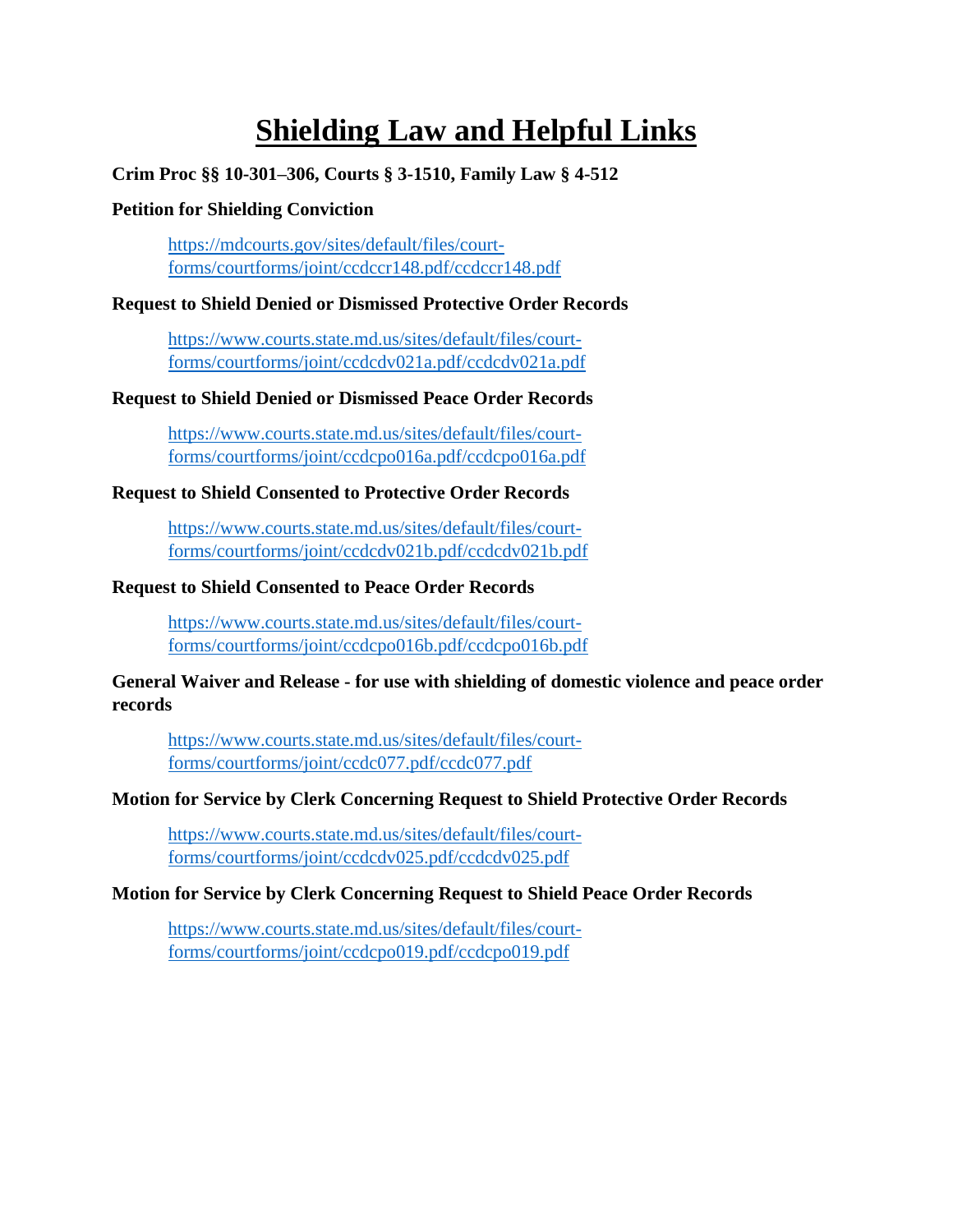# **Shielding Law and Helpful Links**

### **Crim Proc §§ 10-301–306, Courts § 3-1510, Family Law § 4-512**

#### **Petition for Shielding Conviction**

[https://mdcourts.gov/sites/default/files/court](https://mdcourts.gov/sites/default/files/court-forms/courtforms/joint/ccdccr148.pdf/ccdccr148.pdf)[forms/courtforms/joint/ccdccr148.pdf/ccdccr148.pdf](https://mdcourts.gov/sites/default/files/court-forms/courtforms/joint/ccdccr148.pdf/ccdccr148.pdf)

#### **Request to Shield Denied or Dismissed Protective Order Records**

[https://www.courts.state.md.us/sites/default/files/court](https://www.courts.state.md.us/sites/default/files/court-forms/courtforms/joint/ccdcdv021a.pdf/ccdcdv021a.pdf)[forms/courtforms/joint/ccdcdv021a.pdf/ccdcdv021a.pdf](https://www.courts.state.md.us/sites/default/files/court-forms/courtforms/joint/ccdcdv021a.pdf/ccdcdv021a.pdf)

#### **Request to Shield Denied or Dismissed Peace Order Records**

[https://www.courts.state.md.us/sites/default/files/court](https://www.courts.state.md.us/sites/default/files/court-forms/courtforms/joint/ccdcpo016a.pdf/ccdcpo016a.pdf)[forms/courtforms/joint/ccdcpo016a.pdf/ccdcpo016a.pdf](https://www.courts.state.md.us/sites/default/files/court-forms/courtforms/joint/ccdcpo016a.pdf/ccdcpo016a.pdf)

#### **Request to Shield Consented to Protective Order Records**

[https://www.courts.state.md.us/sites/default/files/court](https://www.courts.state.md.us/sites/default/files/court-forms/courtforms/joint/ccdcdv021b.pdf/ccdcdv021b.pdf)[forms/courtforms/joint/ccdcdv021b.pdf/ccdcdv021b.pdf](https://www.courts.state.md.us/sites/default/files/court-forms/courtforms/joint/ccdcdv021b.pdf/ccdcdv021b.pdf)

#### **Request to Shield Consented to Peace Order Records**

[https://www.courts.state.md.us/sites/default/files/court](https://www.courts.state.md.us/sites/default/files/court-forms/courtforms/joint/ccdcpo016b.pdf/ccdcpo016b.pdf)[forms/courtforms/joint/ccdcpo016b.pdf/ccdcpo016b.pdf](https://www.courts.state.md.us/sites/default/files/court-forms/courtforms/joint/ccdcpo016b.pdf/ccdcpo016b.pdf)

#### **General Waiver and Release - for use with shielding of domestic violence and peace order records**

[https://www.courts.state.md.us/sites/default/files/court](https://www.courts.state.md.us/sites/default/files/court-forms/courtforms/joint/ccdc077.pdf/ccdc077.pdf)[forms/courtforms/joint/ccdc077.pdf/ccdc077.pdf](https://www.courts.state.md.us/sites/default/files/court-forms/courtforms/joint/ccdc077.pdf/ccdc077.pdf)

#### **Motion for Service by Clerk Concerning Request to Shield Protective Order Records**

[https://www.courts.state.md.us/sites/default/files/court](https://www.courts.state.md.us/sites/default/files/court-forms/courtforms/joint/ccdcdv025.pdf/ccdcdv025.pdf)[forms/courtforms/joint/ccdcdv025.pdf/ccdcdv025.pdf](https://www.courts.state.md.us/sites/default/files/court-forms/courtforms/joint/ccdcdv025.pdf/ccdcdv025.pdf)

#### **Motion for Service by Clerk Concerning Request to Shield Peace Order Records**

[https://www.courts.state.md.us/sites/default/files/court](https://www.courts.state.md.us/sites/default/files/court-forms/courtforms/joint/ccdcpo019.pdf/ccdcpo019.pdf)[forms/courtforms/joint/ccdcpo019.pdf/ccdcpo019.pdf](https://www.courts.state.md.us/sites/default/files/court-forms/courtforms/joint/ccdcpo019.pdf/ccdcpo019.pdf)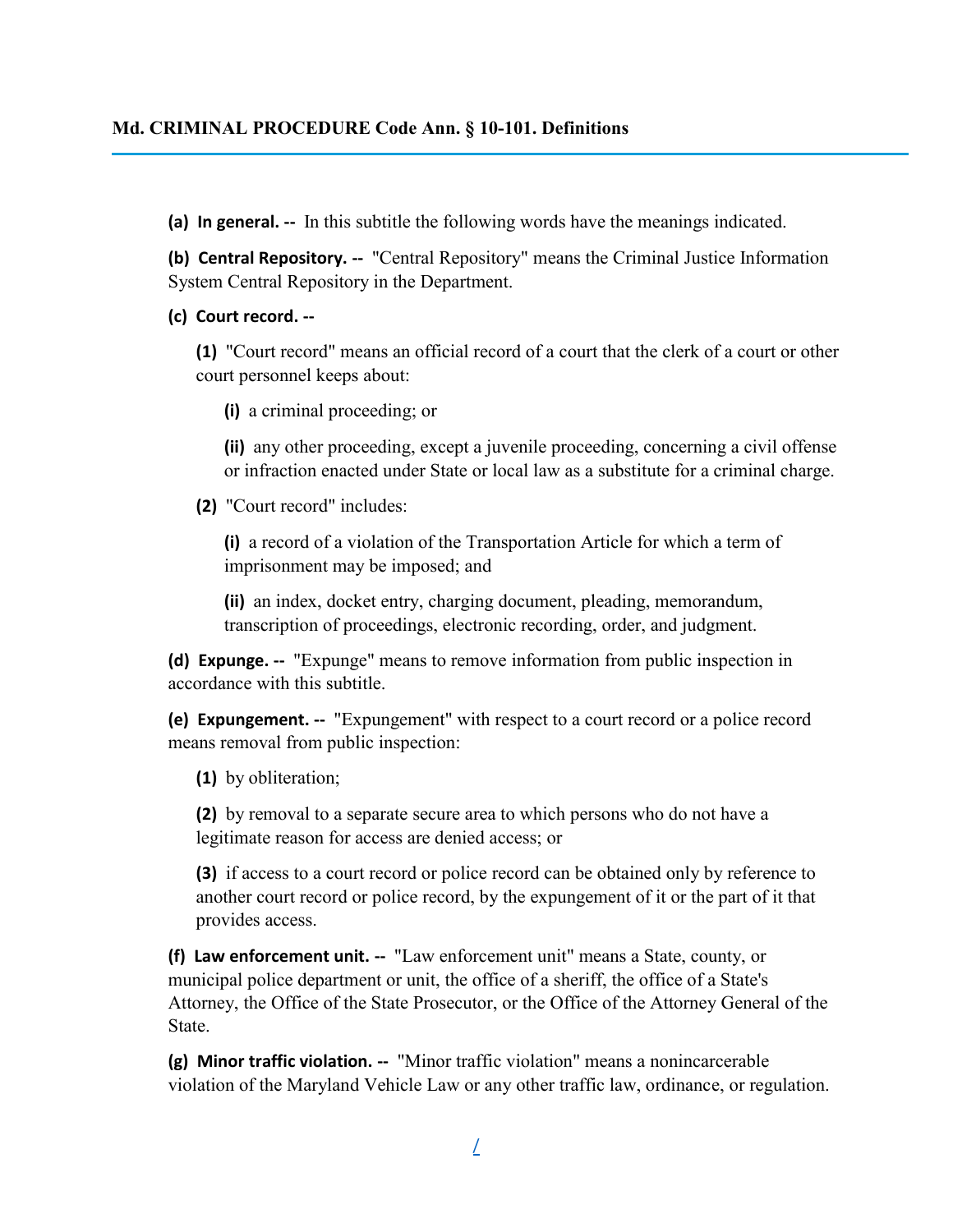#### **Md. CRIMINAL PROCEDURE Code Ann. § 10-101. Definitions**

**(a) In general. --** In this subtitle the following words have the meanings indicated.

**(b) Central Repository. --** "Central Repository" means the Criminal Justice Information System Central Repository in the Department.

#### **(c) Court record. --**

**(1)** "Court record" means an official record of a court that the clerk of a court or other court personnel keeps about:

**(i)** a criminal proceeding; or

**(ii)** any other proceeding, except a juvenile proceeding, concerning a civil offense or infraction enacted under State or local law as a substitute for a criminal charge.

**(2)** "Court record" includes:

**(i)** a record of a violation of the Transportation Article for which a term of imprisonment may be imposed; and

**(ii)** an index, docket entry, charging document, pleading, memorandum, transcription of proceedings, electronic recording, order, and judgment.

**(d) Expunge. --** "Expunge" means to remove information from public inspection in accordance with this subtitle.

**(e) Expungement. --** "Expungement" with respect to a court record or a police record means removal from public inspection:

**(1)** by obliteration;

**(2)** by removal to a separate secure area to which persons who do not have a legitimate reason for access are denied access; or

**(3)** if access to a court record or police record can be obtained only by reference to another court record or police record, by the expungement of it or the part of it that provides access.

**(f) Law enforcement unit. --** "Law enforcement unit" means a State, county, or municipal police department or unit, the office of a sheriff, the office of a State's Attorney, the Office of the State Prosecutor, or the Office of the Attorney General of the State.

**(g) Minor traffic violation. --** "Minor traffic violation" means a nonincarcerable violation of the Maryland Vehicle Law or any other traffic law, ordinance, or regulation.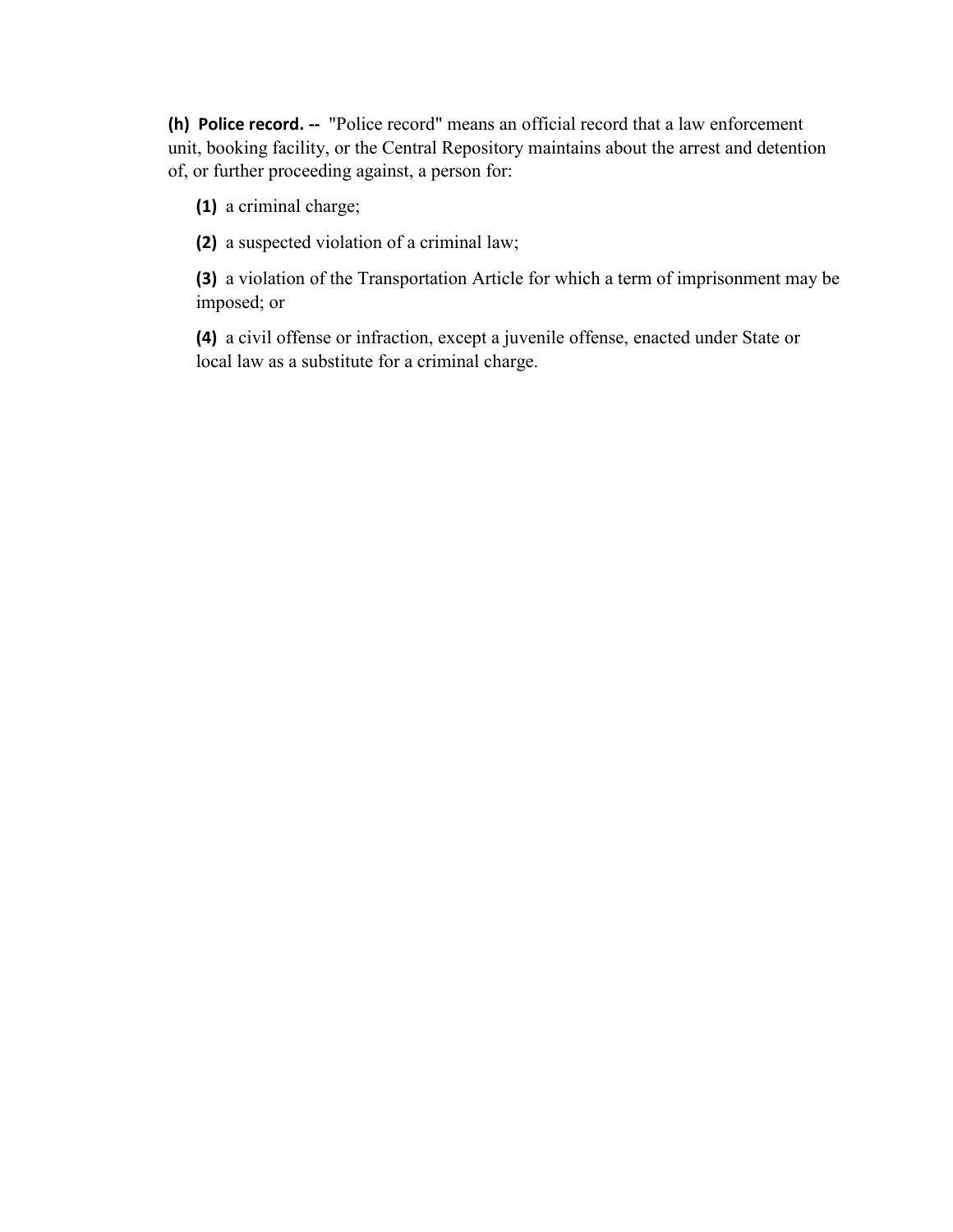**(h) Police record. --** "Police record" means an official record that a law enforcement unit, booking facility, or the Central Repository maintains about the arrest and detention of, or further proceeding against, a person for:

**(1)** a criminal charge;

**(2)** a suspected violation of a criminal law;

**(3)** a violation of the Transportation Article for which a term of imprisonment may be imposed; or

**(4)** a civil offense or infraction, except a juvenile offense, enacted under State or local law as a substitute for a criminal charge.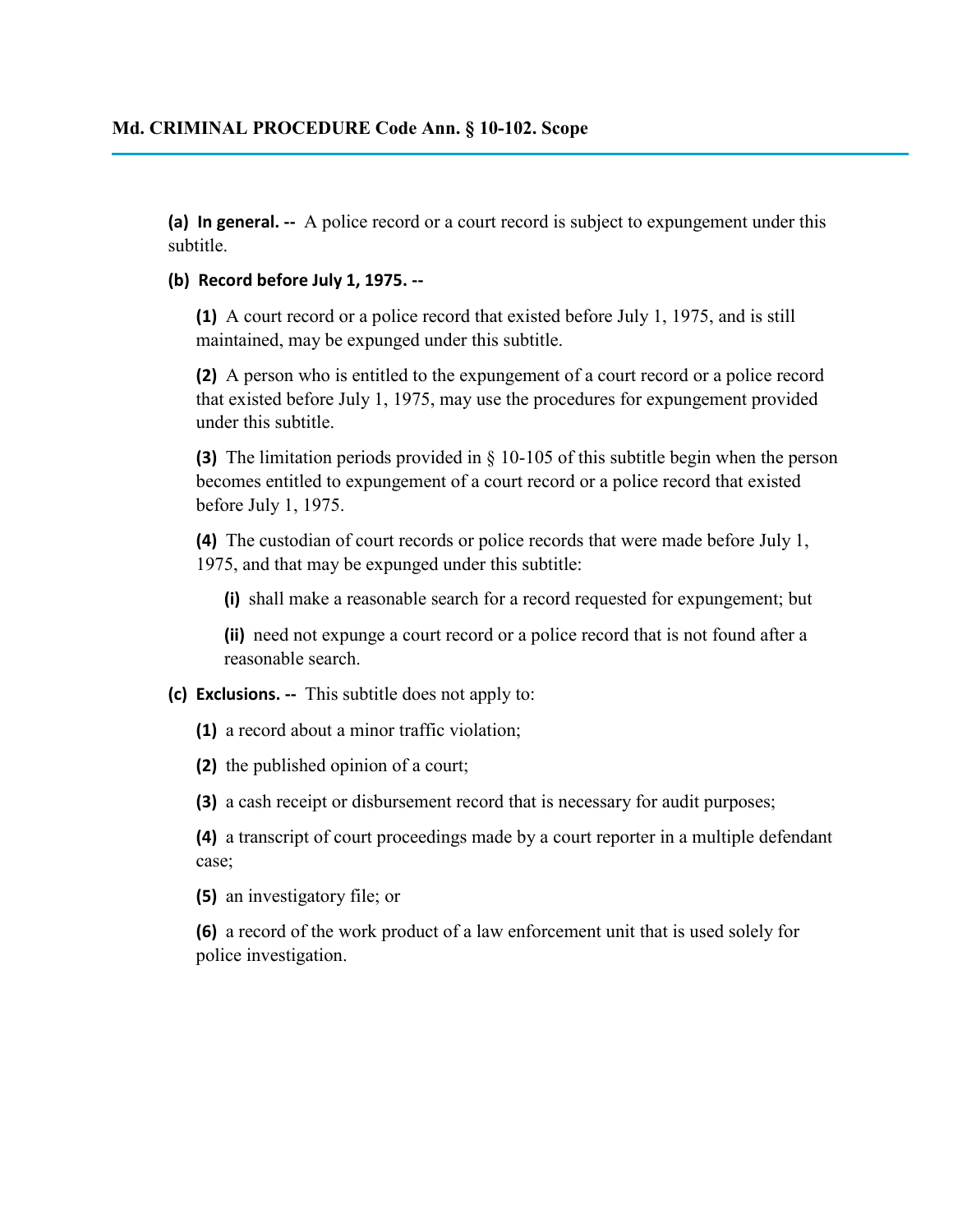**(a) In general. --** A police record or a court record is subject to expungement under this subtitle.

#### **(b) Record before July 1, 1975. --**

**(1)** A court record or a police record that existed before July 1, 1975, and is still maintained, may be expunged under this subtitle.

**(2)** A person who is entitled to the expungement of a court record or a police record that existed before July 1, 1975, may use the procedures for expungement provided under this subtitle.

**(3)** The limitation periods provided in § 10-105 of this subtitle begin when the person becomes entitled to expungement of a court record or a police record that existed before July 1, 1975.

**(4)** The custodian of court records or police records that were made before July 1, 1975, and that may be expunged under this subtitle:

**(i)** shall make a reasonable search for a record requested for expungement; but

**(ii)** need not expunge a court record or a police record that is not found after a reasonable search.

#### **(c) Exclusions. --** This subtitle does not apply to:

**(1)** a record about a minor traffic violation;

**(2)** the published opinion of a court;

**(3)** a cash receipt or disbursement record that is necessary for audit purposes;

**(4)** a transcript of court proceedings made by a court reporter in a multiple defendant case;

**(5)** an investigatory file; or

**(6)** a record of the work product of a law enforcement unit that is used solely for police investigation.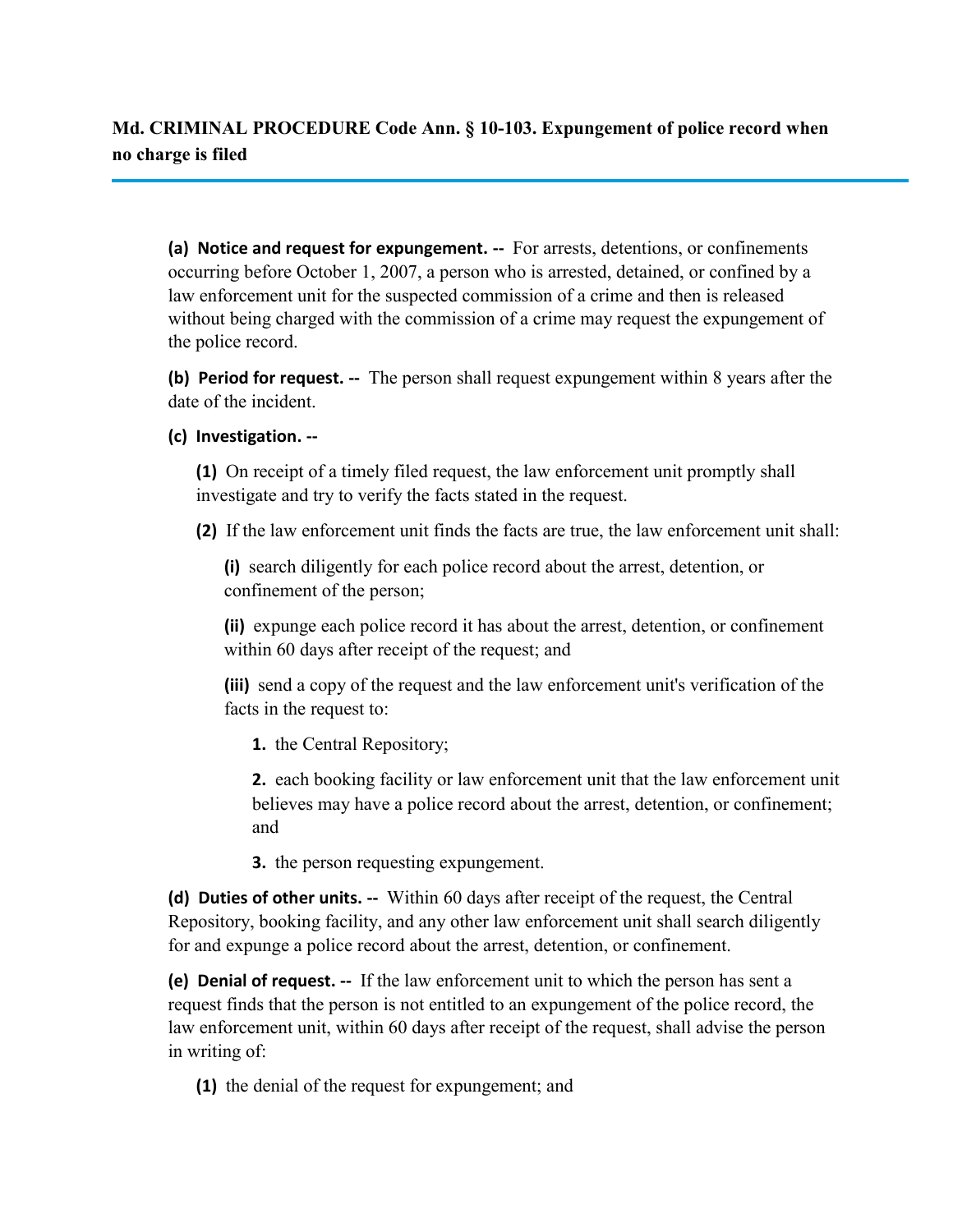**Md. CRIMINAL PROCEDURE Code Ann. § 10-103. Expungement of police record when no charge is filed**

**(a) Notice and request for expungement. --** For arrests, detentions, or confinements occurring before October 1, 2007, a person who is arrested, detained, or confined by a law enforcement unit for the suspected commission of a crime and then is released without being charged with the commission of a crime may request the expungement of the police record.

**(b) Period for request. --** The person shall request expungement within 8 years after the date of the incident.

#### **(c) Investigation. --**

**(1)** On receipt of a timely filed request, the law enforcement unit promptly shall investigate and try to verify the facts stated in the request.

**(2)** If the law enforcement unit finds the facts are true, the law enforcement unit shall:

**(i)** search diligently for each police record about the arrest, detention, or confinement of the person;

**(ii)** expunge each police record it has about the arrest, detention, or confinement within 60 days after receipt of the request; and

**(iii)** send a copy of the request and the law enforcement unit's verification of the facts in the request to:

**1.** the Central Repository;

**2.** each booking facility or law enforcement unit that the law enforcement unit believes may have a police record about the arrest, detention, or confinement; and

**3.** the person requesting expungement.

**(d) Duties of other units. --** Within 60 days after receipt of the request, the Central Repository, booking facility, and any other law enforcement unit shall search diligently for and expunge a police record about the arrest, detention, or confinement.

**(e) Denial of request. --** If the law enforcement unit to which the person has sent a request finds that the person is not entitled to an expungement of the police record, the law enforcement unit, within 60 days after receipt of the request, shall advise the person in writing of:

**(1)** the denial of the request for expungement; and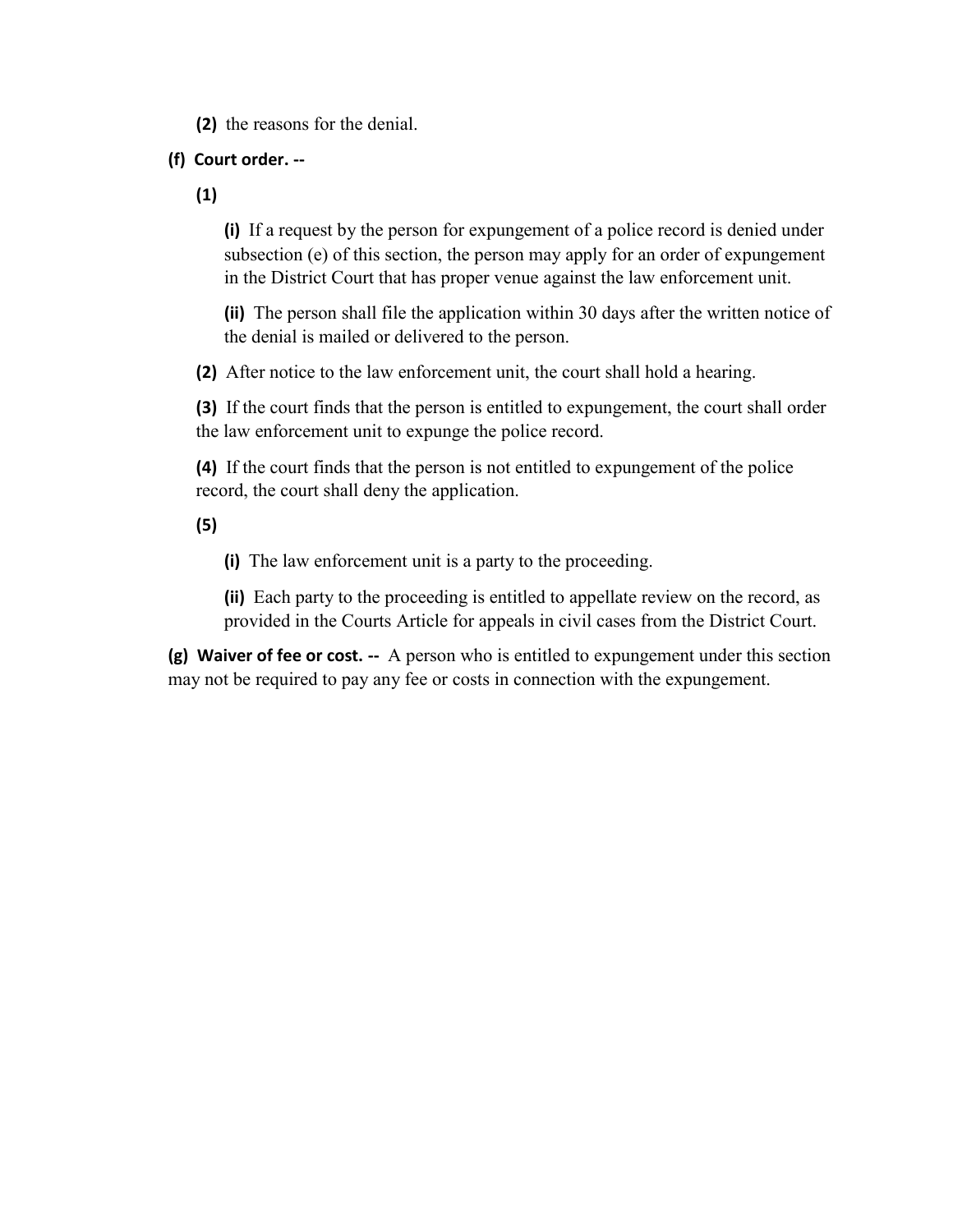**(2)** the reasons for the denial.

#### **(f) Court order. --**

**(1)**

**(i)** If a request by the person for expungement of a police record is denied under subsection (e) of this section, the person may apply for an order of expungement in the District Court that has proper venue against the law enforcement unit.

**(ii)** The person shall file the application within 30 days after the written notice of the denial is mailed or delivered to the person.

**(2)** After notice to the law enforcement unit, the court shall hold a hearing.

**(3)** If the court finds that the person is entitled to expungement, the court shall order the law enforcement unit to expunge the police record.

**(4)** If the court finds that the person is not entitled to expungement of the police record, the court shall deny the application.

#### **(5)**

**(i)** The law enforcement unit is a party to the proceeding.

**(ii)** Each party to the proceeding is entitled to appellate review on the record, as provided in the Courts Article for appeals in civil cases from the District Court.

**(g) Waiver of fee or cost. --** A person who is entitled to expungement under this section may not be required to pay any fee or costs in connection with the expungement.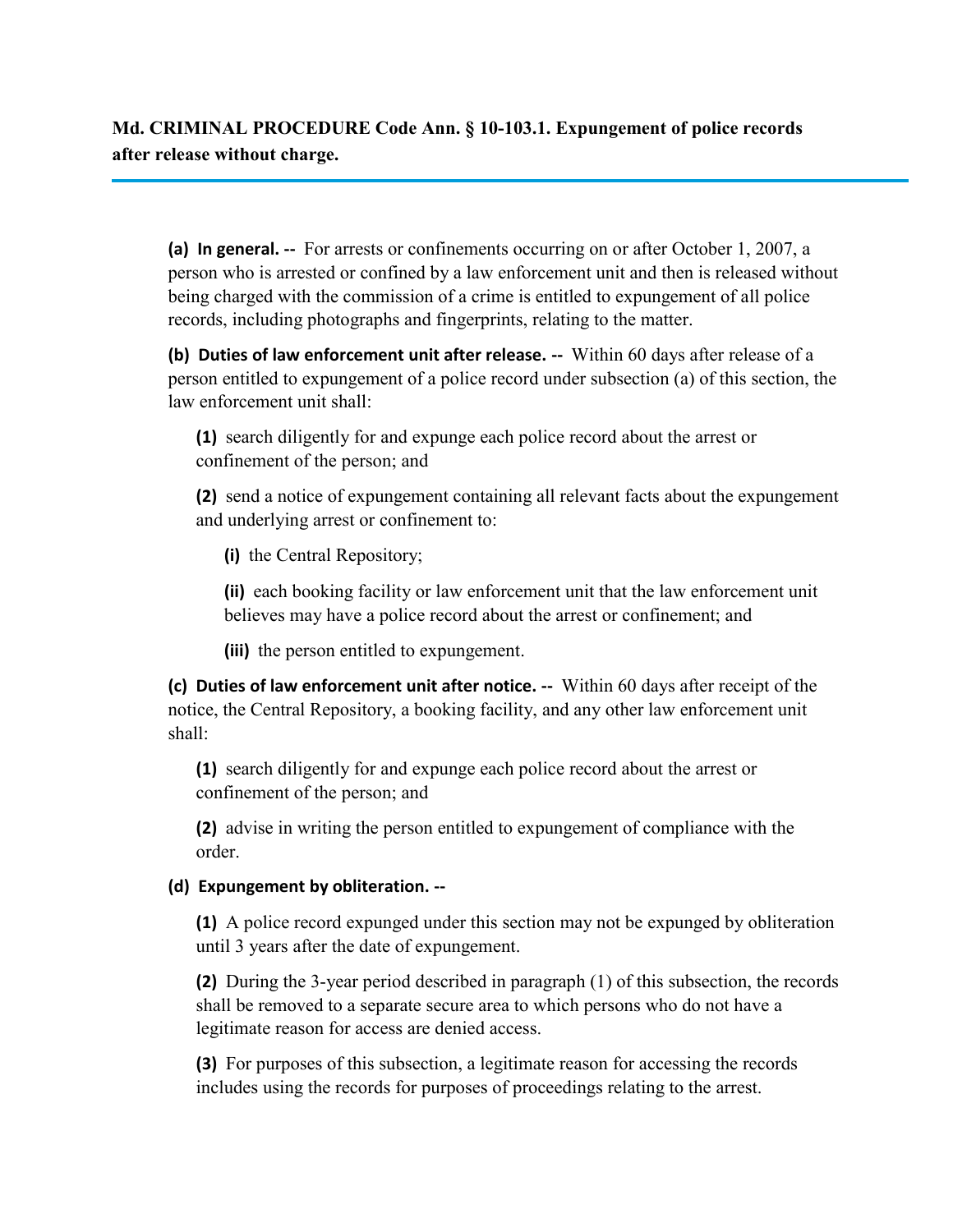**Md. CRIMINAL PROCEDURE Code Ann. § 10-103.1. Expungement of police records after release without charge.**

**(a) In general. --** For arrests or confinements occurring on or after October 1, 2007, a person who is arrested or confined by a law enforcement unit and then is released without being charged with the commission of a crime is entitled to expungement of all police records, including photographs and fingerprints, relating to the matter.

**(b) Duties of law enforcement unit after release. --** Within 60 days after release of a person entitled to expungement of a police record under subsection (a) of this section, the law enforcement unit shall:

**(1)** search diligently for and expunge each police record about the arrest or confinement of the person; and

**(2)** send a notice of expungement containing all relevant facts about the expungement and underlying arrest or confinement to:

**(i)** the Central Repository;

**(ii)** each booking facility or law enforcement unit that the law enforcement unit believes may have a police record about the arrest or confinement; and

**(iii)** the person entitled to expungement.

**(c) Duties of law enforcement unit after notice. --** Within 60 days after receipt of the notice, the Central Repository, a booking facility, and any other law enforcement unit shall:

**(1)** search diligently for and expunge each police record about the arrest or confinement of the person; and

**(2)** advise in writing the person entitled to expungement of compliance with the order.

#### **(d) Expungement by obliteration. --**

**(1)** A police record expunged under this section may not be expunged by obliteration until 3 years after the date of expungement.

**(2)** During the 3-year period described in paragraph (1) of this subsection, the records shall be removed to a separate secure area to which persons who do not have a legitimate reason for access are denied access.

**(3)** For purposes of this subsection, a legitimate reason for accessing the records includes using the records for purposes of proceedings relating to the arrest.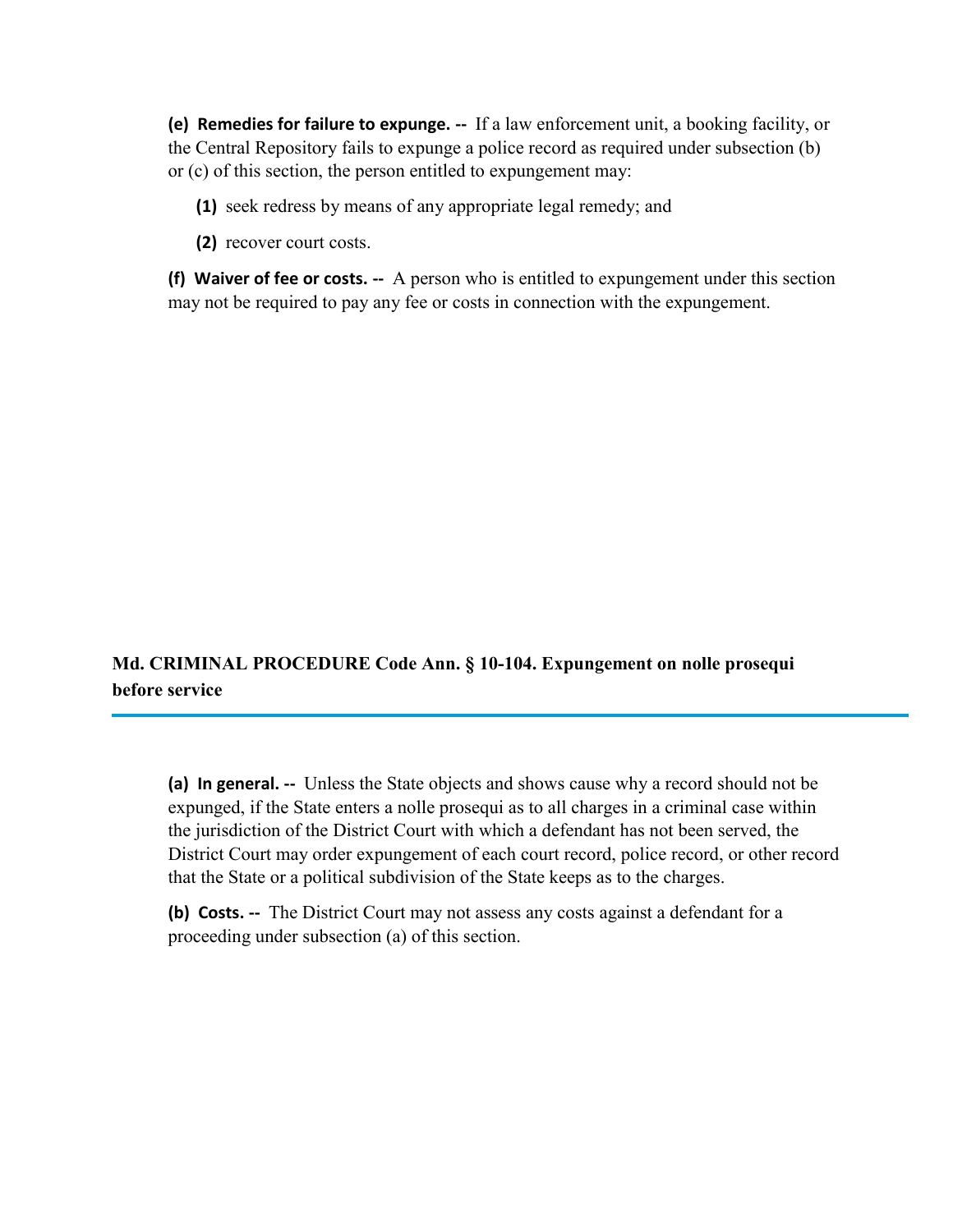**(e) Remedies for failure to expunge. --** If a law enforcement unit, a booking facility, or the Central Repository fails to expunge a police record as required under subsection (b) or (c) of this section, the person entitled to expungement may:

**(1)** seek redress by means of any appropriate legal remedy; and

**(2)** recover court costs.

**(f) Waiver of fee or costs. --** A person who is entitled to expungement under this section may not be required to pay any fee or costs in connection with the expungement.

## **Md. CRIMINAL PROCEDURE Code Ann. § 10-104. Expungement on nolle prosequi before service**

**(a) In general. --** Unless the State objects and shows cause why a record should not be expunged, if the State enters a nolle prosequi as to all charges in a criminal case within the jurisdiction of the District Court with which a defendant has not been served, the District Court may order expungement of each court record, police record, or other record that the State or a political subdivision of the State keeps as to the charges.

**(b) Costs. --** The District Court may not assess any costs against a defendant for a proceeding under subsection (a) of this section.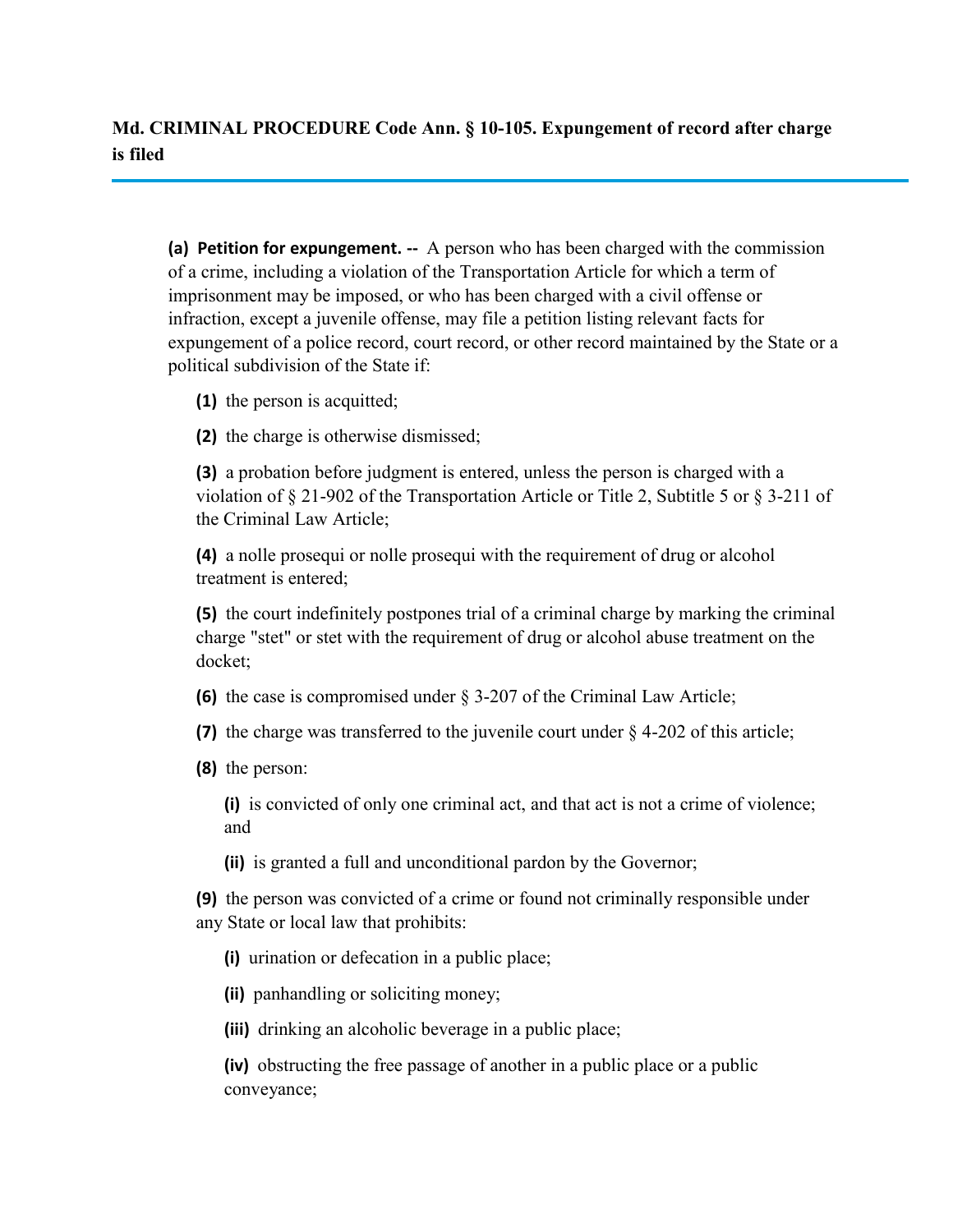**Md. CRIMINAL PROCEDURE Code Ann. § 10-105. Expungement of record after charge is filed**

**(a) Petition for expungement. --** A person who has been charged with the commission of a crime, including a violation of the Transportation Article for which a term of imprisonment may be imposed, or who has been charged with a civil offense or infraction, except a juvenile offense, may file a petition listing relevant facts for expungement of a police record, court record, or other record maintained by the State or a political subdivision of the State if:

**(1)** the person is acquitted;

**(2)** the charge is otherwise dismissed;

**(3)** a probation before judgment is entered, unless the person is charged with a violation of § 21-902 of the Transportation Article or Title 2, Subtitle 5 or § 3-211 of the Criminal Law Article;

**(4)** a nolle prosequi or nolle prosequi with the requirement of drug or alcohol treatment is entered;

**(5)** the court indefinitely postpones trial of a criminal charge by marking the criminal charge "stet" or stet with the requirement of drug or alcohol abuse treatment on the docket;

**(6)** the case is compromised under § 3-207 of the Criminal Law Article;

**(7)** the charge was transferred to the juvenile court under § 4-202 of this article;

**(8)** the person:

**(i)** is convicted of only one criminal act, and that act is not a crime of violence; and

**(ii)** is granted a full and unconditional pardon by the Governor;

**(9)** the person was convicted of a crime or found not criminally responsible under any State or local law that prohibits:

**(i)** urination or defecation in a public place;

**(ii)** panhandling or soliciting money;

**(iii)** drinking an alcoholic beverage in a public place;

**(iv)** obstructing the free passage of another in a public place or a public conveyance;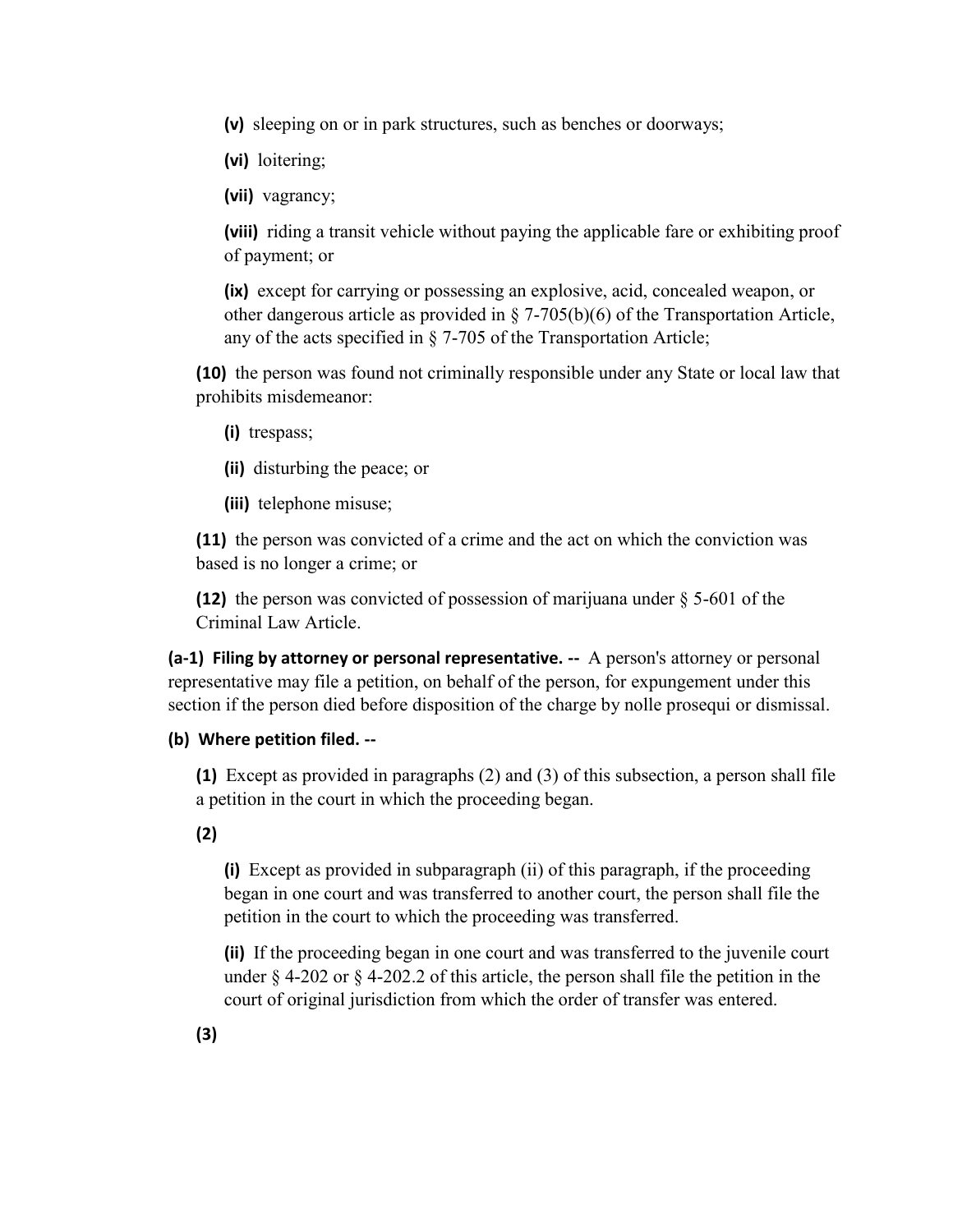**(v)** sleeping on or in park structures, such as benches or doorways;

**(vi)** loitering;

**(vii)** vagrancy;

**(viii)** riding a transit vehicle without paying the applicable fare or exhibiting proof of payment; or

**(ix)** except for carrying or possessing an explosive, acid, concealed weapon, or other dangerous article as provided in  $\S$  7-705(b)(6) of the Transportation Article, any of the acts specified in § 7-705 of the Transportation Article;

**(10)** the person was found not criminally responsible under any State or local law that prohibits misdemeanor:

**(i)** trespass;

**(ii)** disturbing the peace; or

**(iii)** telephone misuse;

**(11)** the person was convicted of a crime and the act on which the conviction was based is no longer a crime; or

**(12)** the person was convicted of possession of marijuana under § 5-601 of the Criminal Law Article.

**(a-1) Filing by attorney or personal representative. --** A person's attorney or personal representative may file a petition, on behalf of the person, for expungement under this section if the person died before disposition of the charge by nolle prosequi or dismissal.

#### **(b) Where petition filed. --**

**(1)** Except as provided in paragraphs (2) and (3) of this subsection, a person shall file a petition in the court in which the proceeding began.

**(2)** 

**(i)** Except as provided in subparagraph (ii) of this paragraph, if the proceeding began in one court and was transferred to another court, the person shall file the petition in the court to which the proceeding was transferred.

**(ii)** If the proceeding began in one court and was transferred to the juvenile court under  $\S$  4-202 or  $\S$  4-202.2 of this article, the person shall file the petition in the court of original jurisdiction from which the order of transfer was entered.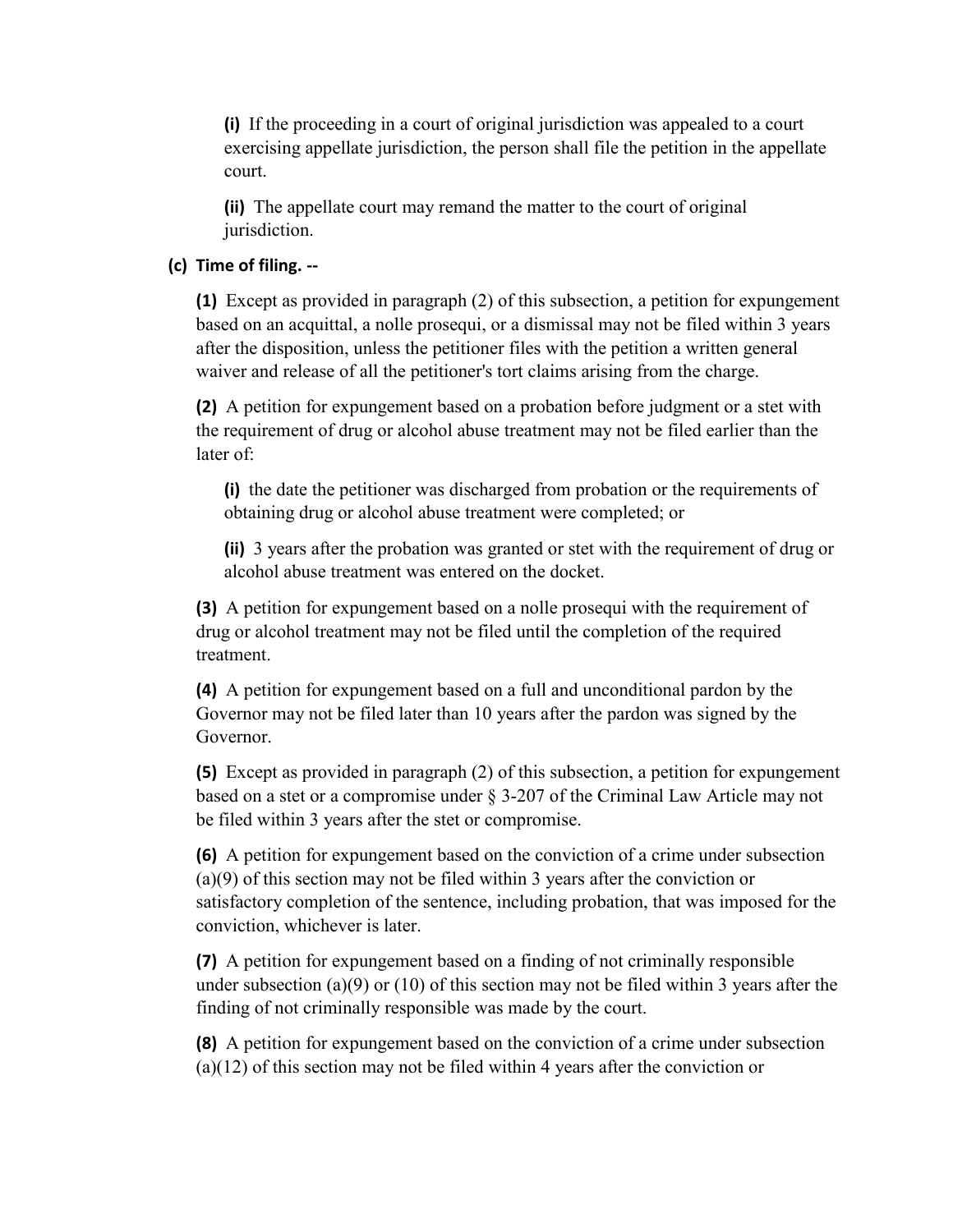**(i)** If the proceeding in a court of original jurisdiction was appealed to a court exercising appellate jurisdiction, the person shall file the petition in the appellate court.

**(ii)** The appellate court may remand the matter to the court of original jurisdiction.

#### **(c) Time of filing. --**

**(1)** Except as provided in paragraph (2) of this subsection, a petition for expungement based on an acquittal, a nolle prosequi, or a dismissal may not be filed within 3 years after the disposition, unless the petitioner files with the petition a written general waiver and release of all the petitioner's tort claims arising from the charge.

**(2)** A petition for expungement based on a probation before judgment or a stet with the requirement of drug or alcohol abuse treatment may not be filed earlier than the later of:

**(i)** the date the petitioner was discharged from probation or the requirements of obtaining drug or alcohol abuse treatment were completed; or

**(ii)** 3 years after the probation was granted or stet with the requirement of drug or alcohol abuse treatment was entered on the docket.

**(3)** A petition for expungement based on a nolle prosequi with the requirement of drug or alcohol treatment may not be filed until the completion of the required treatment.

**(4)** A petition for expungement based on a full and unconditional pardon by the Governor may not be filed later than 10 years after the pardon was signed by the Governor.

**(5)** Except as provided in paragraph (2) of this subsection, a petition for expungement based on a stet or a compromise under § 3-207 of the Criminal Law Article may not be filed within 3 years after the stet or compromise.

**(6)** A petition for expungement based on the conviction of a crime under subsection (a)(9) of this section may not be filed within 3 years after the conviction or satisfactory completion of the sentence, including probation, that was imposed for the conviction, whichever is later.

**(7)** A petition for expungement based on a finding of not criminally responsible under subsection (a)(9) or (10) of this section may not be filed within 3 years after the finding of not criminally responsible was made by the court.

**(8)** A petition for expungement based on the conviction of a crime under subsection (a)(12) of this section may not be filed within 4 years after the conviction or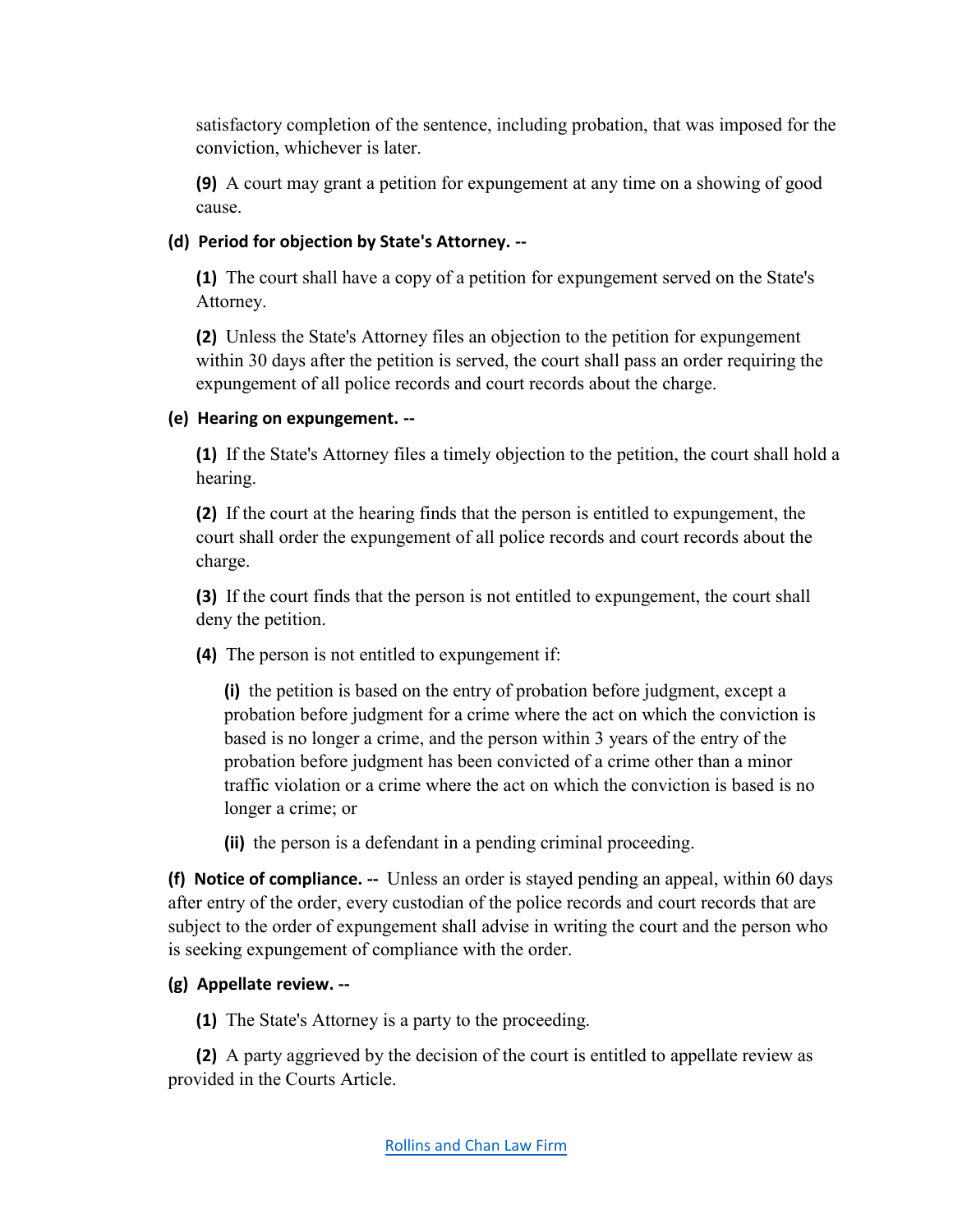satisfactory completion of the sentence, including probation, that was imposed for the conviction, whichever is later.

**(9)** A court may grant a petition for expungement at any time on a showing of good cause.

# **(d) Period for objection by State's Attorney. --**

**(1)** The court shall have a copy of a petition for expungement served on the State's Attorney.

**(2)** Unless the State's Attorney files an objection to the petition for expungement within 30 days after the petition is served, the court shall pass an order requiring the expungement of all police records and court records about the charge.

# **(e) Hearing on expungement. --**

**(1)** If the State's Attorney files a timely objection to the petition, the court shall hold a hearing.

**(2)** If the court at the hearing finds that the person is entitled to expungement, the court shall order the expungement of all police records and court records about the charge.

**(3)** If the court finds that the person is not entitled to expungement, the court shall deny the petition.

**(4)** The person is not entitled to expungement if:

**(i)** the petition is based on the entry of probation before judgment, except a probation before judgment for a crime where the act on which the conviction is based is no longer a crime, and the person within 3 years of the entry of the probation before judgment has been convicted of a crime other than a minor traffic violation or a crime where the act on which the conviction is based is no longer a crime; or

**(ii)** the person is a defendant in a pending criminal proceeding.

**(f) Notice of compliance. --** Unless an order is stayed pending an appeal, within 60 days after entry of the order, every custodian of the police records and court records that are subject to the order of expungement shall advise in writing the court and the person who is seeking expungement of compliance with the order.

# **(g) Appellate review. --**

**(1)** The State's Attorney is a party to the proceeding.

**(2)** A party aggrieved by the decision of the court is entitled to appellate review as provided in the Courts Article.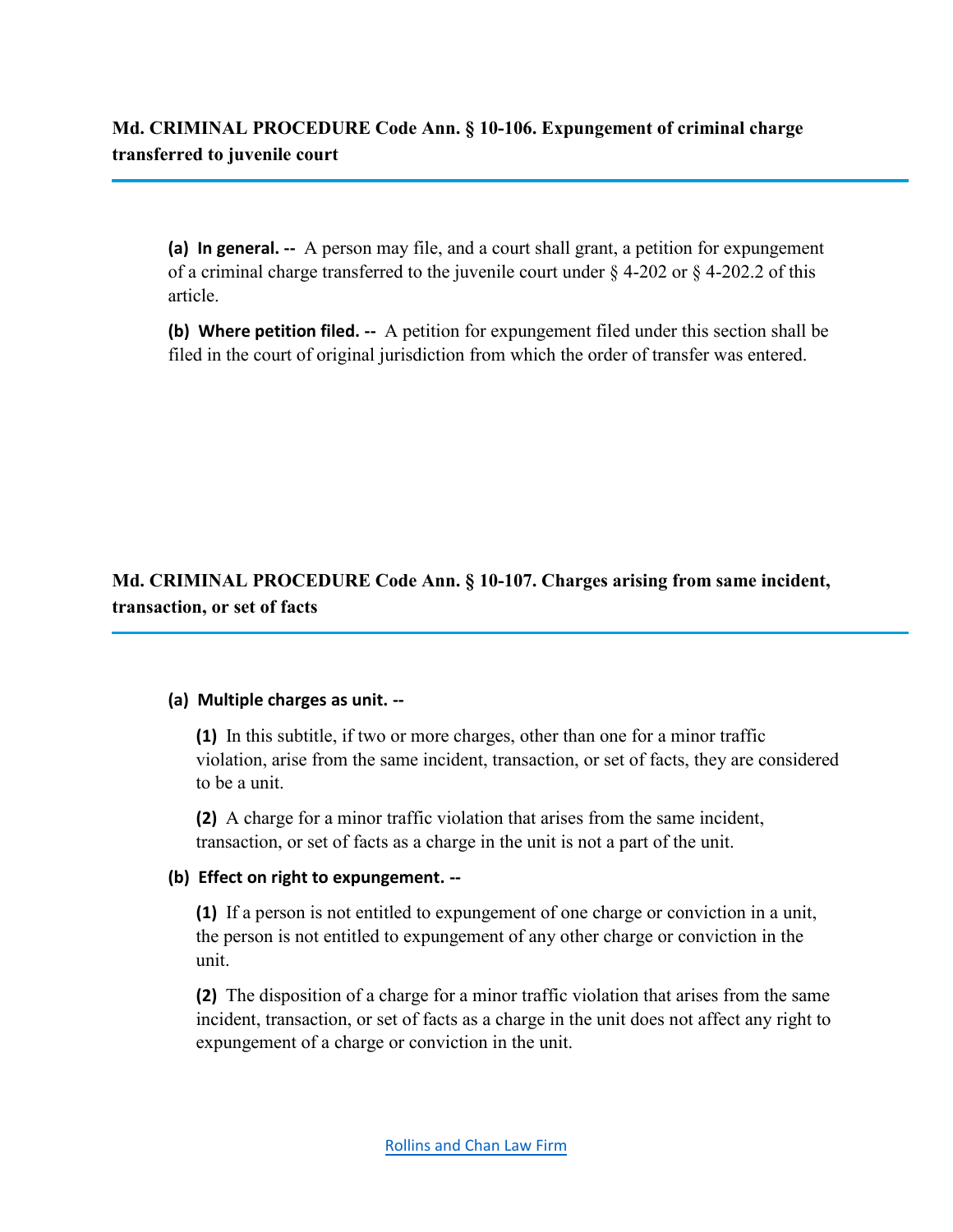**Md. CRIMINAL PROCEDURE Code Ann. § 10-106. Expungement of criminal charge transferred to juvenile court**

**(a) In general. --** A person may file, and a court shall grant, a petition for expungement of a criminal charge transferred to the juvenile court under  $\S$  4-202 or  $\S$  4-202.2 of this article.

**(b) Where petition filed. --** A petition for expungement filed under this section shall be filed in the court of original jurisdiction from which the order of transfer was entered.

**Md. CRIMINAL PROCEDURE Code Ann. § 10-107. Charges arising from same incident, transaction, or set of facts**

#### **(a) Multiple charges as unit. --**

**(1)** In this subtitle, if two or more charges, other than one for a minor traffic violation, arise from the same incident, transaction, or set of facts, they are considered to be a unit.

**(2)** A charge for a minor traffic violation that arises from the same incident, transaction, or set of facts as a charge in the unit is not a part of the unit.

#### **(b) Effect on right to expungement. --**

**(1)** If a person is not entitled to expungement of one charge or conviction in a unit, the person is not entitled to expungement of any other charge or conviction in the unit.

**(2)** The disposition of a charge for a minor traffic violation that arises from the same incident, transaction, or set of facts as a charge in the unit does not affect any right to expungement of a charge or conviction in the unit.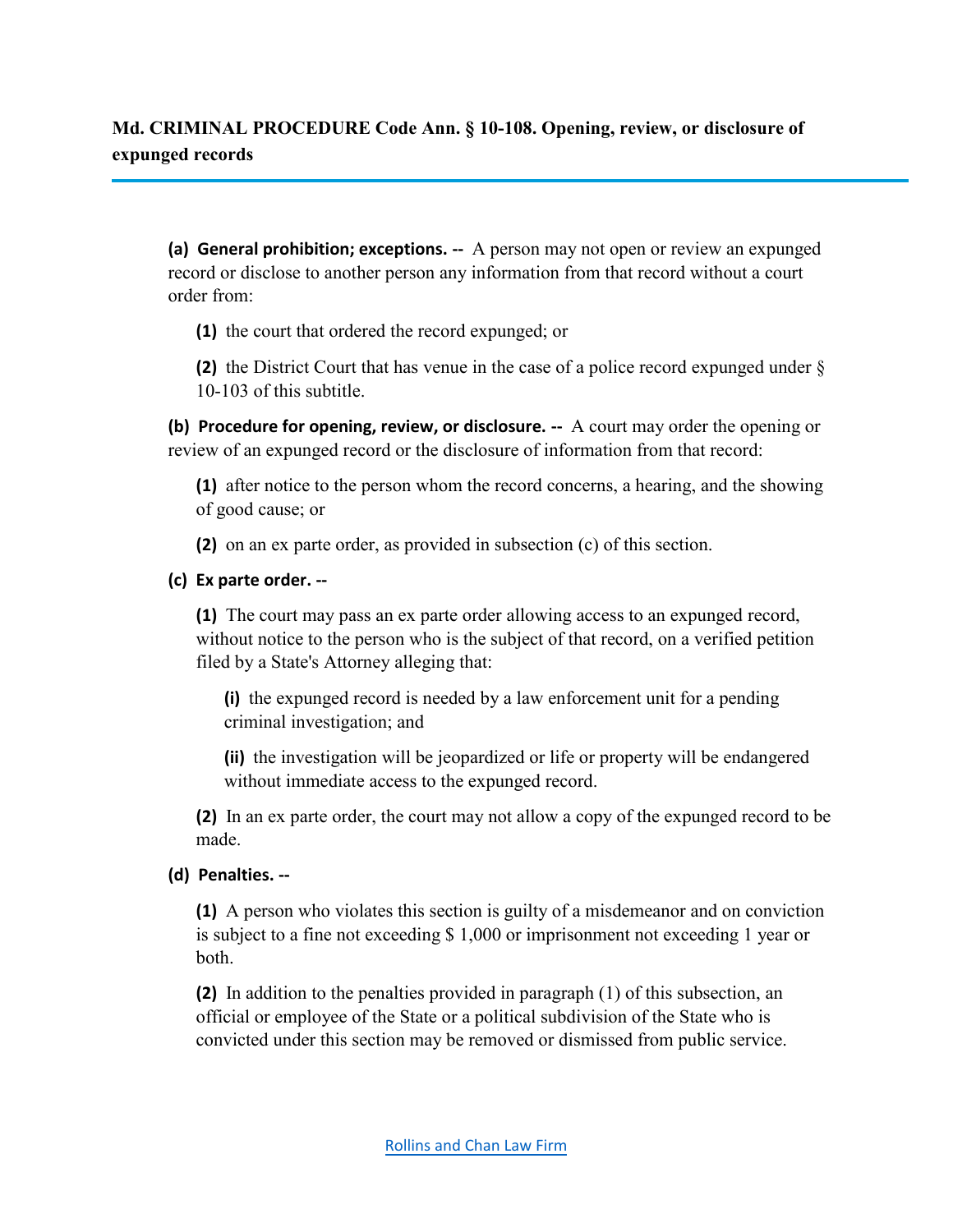**Md. CRIMINAL PROCEDURE Code Ann. § 10-108. Opening, review, or disclosure of expunged records**

**(a) General prohibition; exceptions. --** A person may not open or review an expunged record or disclose to another person any information from that record without a court order from:

**(1)** the court that ordered the record expunged; or

**(2)** the District Court that has venue in the case of a police record expunged under § 10-103 of this subtitle.

**(b) Procedure for opening, review, or disclosure. --** A court may order the opening or review of an expunged record or the disclosure of information from that record:

**(1)** after notice to the person whom the record concerns, a hearing, and the showing of good cause; or

**(2)** on an ex parte order, as provided in subsection (c) of this section.

## **(c) Ex parte order. --**

**(1)** The court may pass an ex parte order allowing access to an expunged record, without notice to the person who is the subject of that record, on a verified petition filed by a State's Attorney alleging that:

**(i)** the expunged record is needed by a law enforcement unit for a pending criminal investigation; and

**(ii)** the investigation will be jeopardized or life or property will be endangered without immediate access to the expunged record.

**(2)** In an ex parte order, the court may not allow a copy of the expunged record to be made.

## **(d) Penalties. --**

**(1)** A person who violates this section is guilty of a misdemeanor and on conviction is subject to a fine not exceeding \$ 1,000 or imprisonment not exceeding 1 year or both.

**(2)** In addition to the penalties provided in paragraph (1) of this subsection, an official or employee of the State or a political subdivision of the State who is convicted under this section may be removed or dismissed from public service.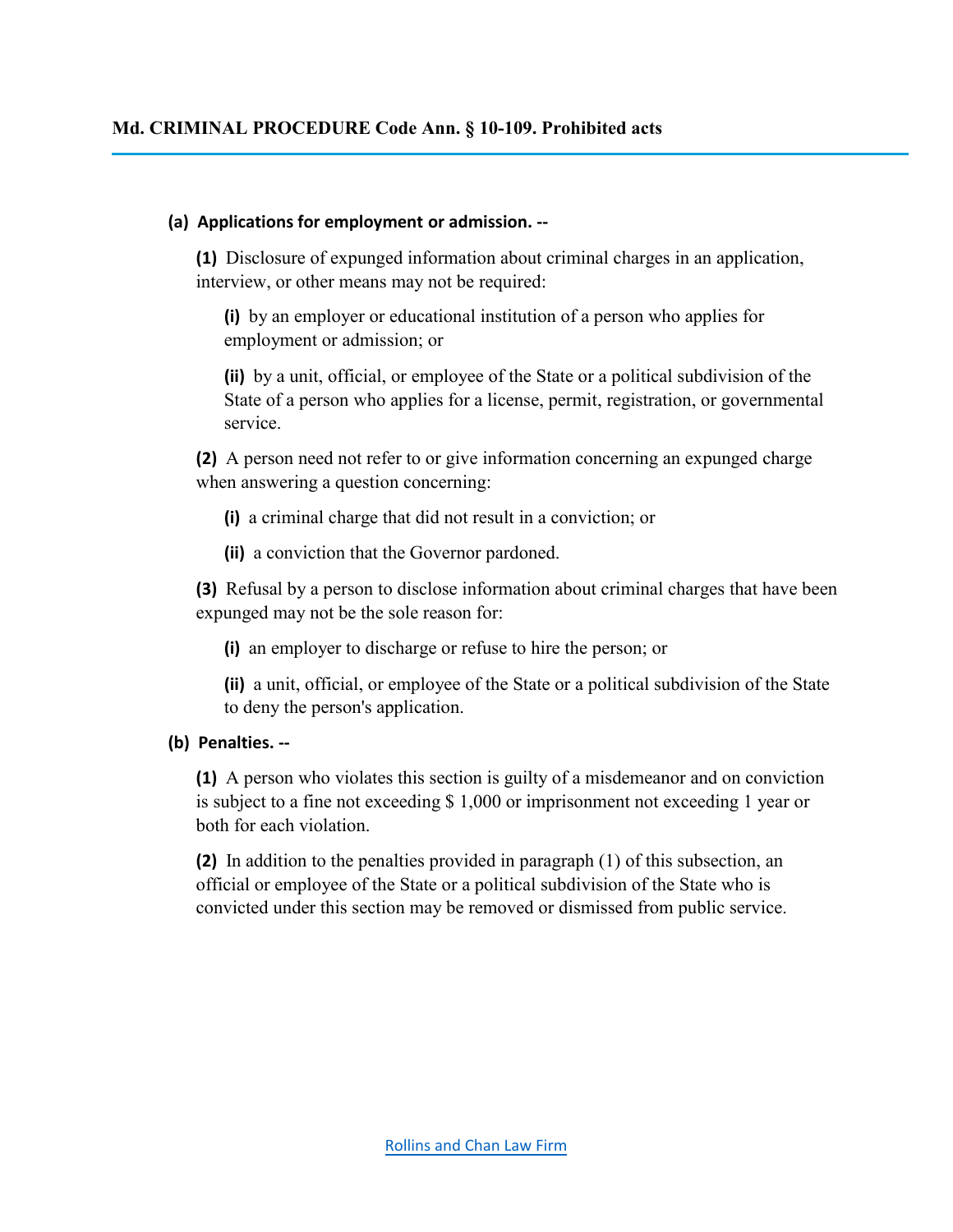#### **(a) Applications for employment or admission. --**

**(1)** Disclosure of expunged information about criminal charges in an application, interview, or other means may not be required:

**(i)** by an employer or educational institution of a person who applies for employment or admission; or

**(ii)** by a unit, official, or employee of the State or a political subdivision of the State of a person who applies for a license, permit, registration, or governmental service.

**(2)** A person need not refer to or give information concerning an expunged charge when answering a question concerning:

**(i)** a criminal charge that did not result in a conviction; or

**(ii)** a conviction that the Governor pardoned.

**(3)** Refusal by a person to disclose information about criminal charges that have been expunged may not be the sole reason for:

**(i)** an employer to discharge or refuse to hire the person; or

**(ii)** a unit, official, or employee of the State or a political subdivision of the State to deny the person's application.

## **(b) Penalties. --**

**(1)** A person who violates this section is guilty of a misdemeanor and on conviction is subject to a fine not exceeding \$ 1,000 or imprisonment not exceeding 1 year or both for each violation.

**(2)** In addition to the penalties provided in paragraph (1) of this subsection, an official or employee of the State or a political subdivision of the State who is convicted under this section may be removed or dismissed from public service.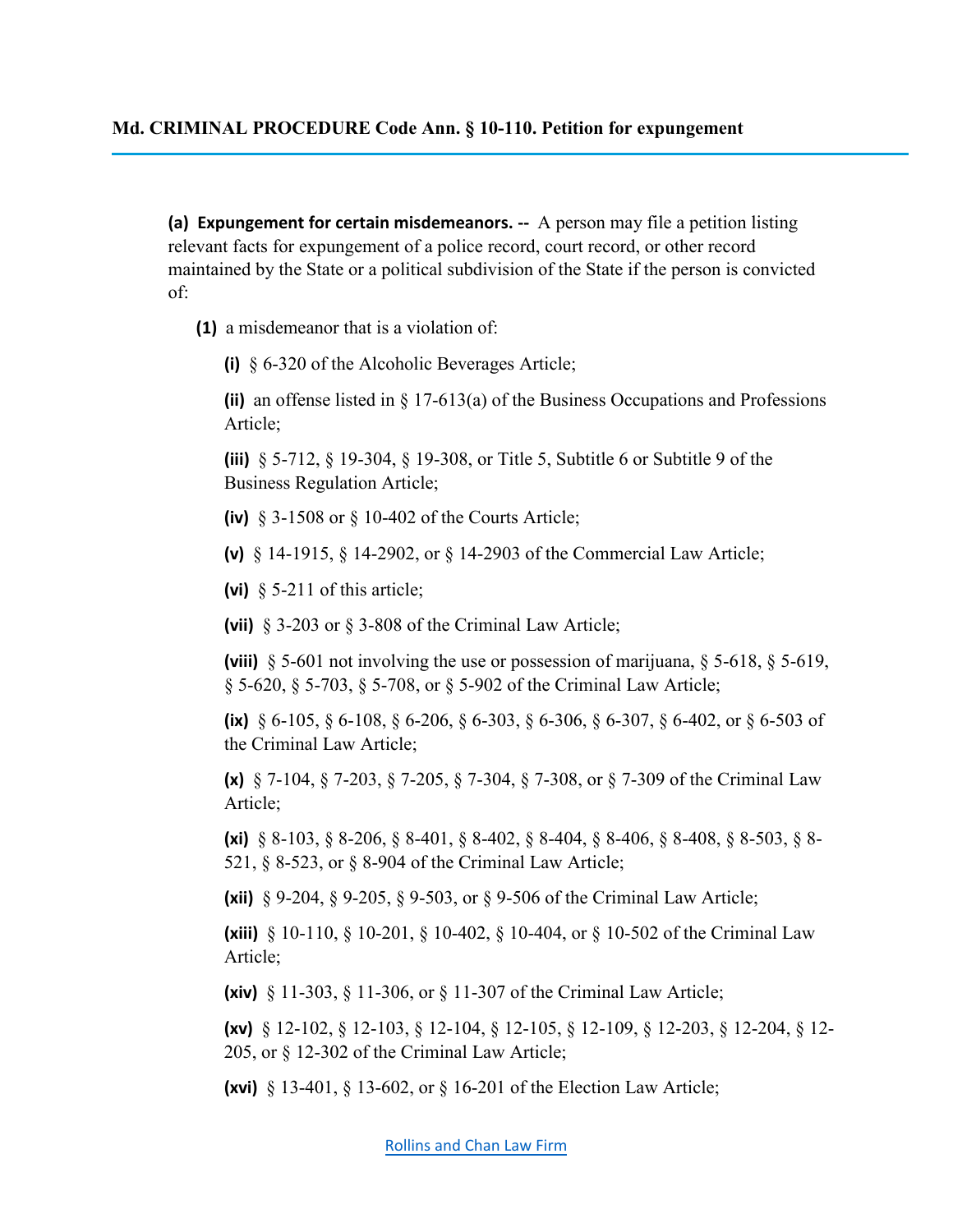### **Md. CRIMINAL PROCEDURE Code Ann. § 10-110. Petition for expungement**

**(a) Expungement for certain misdemeanors. --** A person may file a petition listing relevant facts for expungement of a police record, court record, or other record maintained by the State or a political subdivision of the State if the person is convicted of:

**(1)** a misdemeanor that is a violation of:

**(i)** § 6-320 of the Alcoholic Beverages Article;

**(ii)** an offense listed in § 17-613(a) of the Business Occupations and Professions Article;

**(iii)** § 5-712, § 19-304, § 19-308, or Title 5, Subtitle 6 or Subtitle 9 of the Business Regulation Article;

- **(iv)** § 3-1508 or § 10-402 of the Courts Article;
- **(v)** § 14-1915, § 14-2902, or § 14-2903 of the Commercial Law Article;
- **(vi)** § 5-211 of this article;

**(vii)** § 3-203 or § 3-808 of the Criminal Law Article;

**(viii)** § 5-601 not involving the use or possession of marijuana, § 5-618, § 5-619, § 5-620, § 5-703, § 5-708, or § 5-902 of the Criminal Law Article;

**(ix)** § 6-105, § 6-108, § 6-206, § 6-303, § 6-306, § 6-307, § 6-402, or § 6-503 of the Criminal Law Article;

**(x)** § 7-104, § 7-203, § 7-205, § 7-304, § 7-308, or § 7-309 of the Criminal Law Article;

**(xi)** § 8-103, § 8-206, § 8-401, § 8-402, § 8-404, § 8-406, § 8-408, § 8-503, § 8- 521, § 8-523, or § 8-904 of the Criminal Law Article;

**(xii)** § 9-204, § 9-205, § 9-503, or § 9-506 of the Criminal Law Article;

**(xiii)** § 10-110, § 10-201, § 10-402, § 10-404, or § 10-502 of the Criminal Law Article;

**(xiv)** § 11-303, § 11-306, or § 11-307 of the Criminal Law Article;

**(xv)** § 12-102, § 12-103, § 12-104, § 12-105, § 12-109, § 12-203, § 12-204, § 12- 205, or § 12-302 of the Criminal Law Article;

**(xvi)** § 13-401, § 13-602, or § 16-201 of the Election Law Article;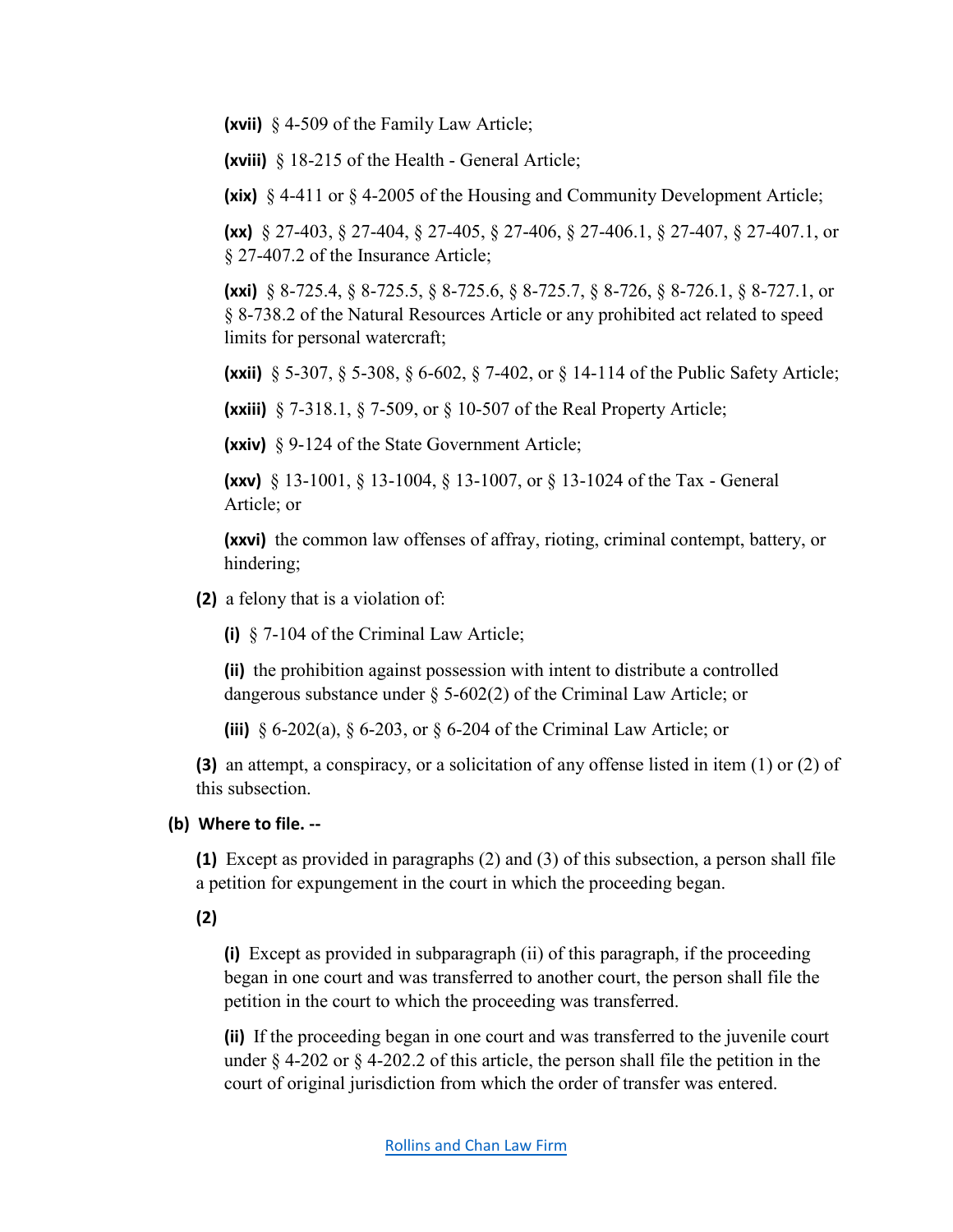**(xvii)** § 4-509 of the Family Law Article;

**(xviii)** § 18-215 of the Health - General Article;

**(xix)** § 4-411 or § 4-2005 of the Housing and Community Development Article;

**(xx)** § 27-403, § 27-404, § 27-405, § 27-406, § 27-406.1, § 27-407, § 27-407.1, or § 27-407.2 of the Insurance Article;

**(xxi)** § 8-725.4, § 8-725.5, § 8-725.6, § 8-725.7, § 8-726, § 8-726.1, § 8-727.1, or § 8-738.2 of the Natural Resources Article or any prohibited act related to speed limits for personal watercraft;

**(xxii)** § 5-307, § 5-308, § 6-602, § 7-402, or § 14-114 of the Public Safety Article;

**(xxiii)** § 7-318.1, § 7-509, or § 10-507 of the Real Property Article;

**(xxiv)** § 9-124 of the State Government Article;

**(xxv)** § 13-1001, § 13-1004, § 13-1007, or § 13-1024 of the Tax - General Article; or

**(xxvi)** the common law offenses of affray, rioting, criminal contempt, battery, or hindering;

**(2)** a felony that is a violation of:

**(i)** § 7-104 of the Criminal Law Article;

**(ii)** the prohibition against possession with intent to distribute a controlled dangerous substance under § 5-602(2) of the Criminal Law Article; or

**(iii)** § 6-202(a), § 6-203, or § 6-204 of the Criminal Law Article; or

**(3)** an attempt, a conspiracy, or a solicitation of any offense listed in item (1) or (2) of this subsection.

## **(b) Where to file. --**

**(1)** Except as provided in paragraphs (2) and (3) of this subsection, a person shall file a petition for expungement in the court in which the proceeding began.

**(2)** 

**(i)** Except as provided in subparagraph (ii) of this paragraph, if the proceeding began in one court and was transferred to another court, the person shall file the petition in the court to which the proceeding was transferred.

**(ii)** If the proceeding began in one court and was transferred to the juvenile court under § 4-202 or § 4-202.2 of this article, the person shall file the petition in the court of original jurisdiction from which the order of transfer was entered.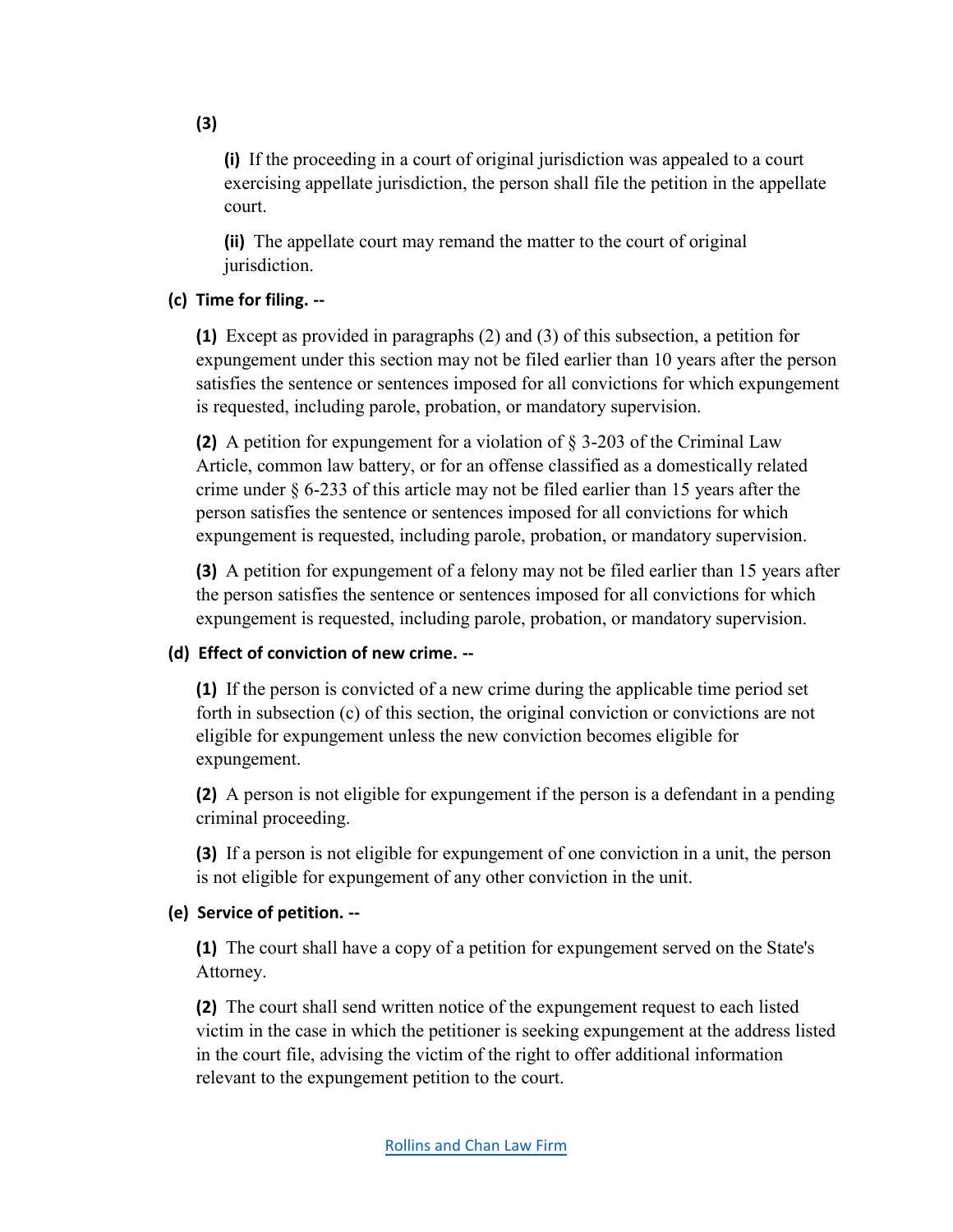**(i)** If the proceeding in a court of original jurisdiction was appealed to a court exercising appellate jurisdiction, the person shall file the petition in the appellate court.

**(ii)** The appellate court may remand the matter to the court of original jurisdiction.

## **(c) Time for filing. --**

**(1)** Except as provided in paragraphs (2) and (3) of this subsection, a petition for expungement under this section may not be filed earlier than 10 years after the person satisfies the sentence or sentences imposed for all convictions for which expungement is requested, including parole, probation, or mandatory supervision.

**(2)** A petition for expungement for a violation of § 3-203 of the Criminal Law Article, common law battery, or for an offense classified as a domestically related crime under  $\S 6$ -233 of this article may not be filed earlier than 15 years after the person satisfies the sentence or sentences imposed for all convictions for which expungement is requested, including parole, probation, or mandatory supervision.

**(3)** A petition for expungement of a felony may not be filed earlier than 15 years after the person satisfies the sentence or sentences imposed for all convictions for which expungement is requested, including parole, probation, or mandatory supervision.

## **(d) Effect of conviction of new crime. --**

**(1)** If the person is convicted of a new crime during the applicable time period set forth in subsection (c) of this section, the original conviction or convictions are not eligible for expungement unless the new conviction becomes eligible for expungement.

**(2)** A person is not eligible for expungement if the person is a defendant in a pending criminal proceeding.

**(3)** If a person is not eligible for expungement of one conviction in a unit, the person is not eligible for expungement of any other conviction in the unit.

## **(e) Service of petition. --**

**(1)** The court shall have a copy of a petition for expungement served on the State's Attorney.

**(2)** The court shall send written notice of the expungement request to each listed victim in the case in which the petitioner is seeking expungement at the address listed in the court file, advising the victim of the right to offer additional information relevant to the expungement petition to the court.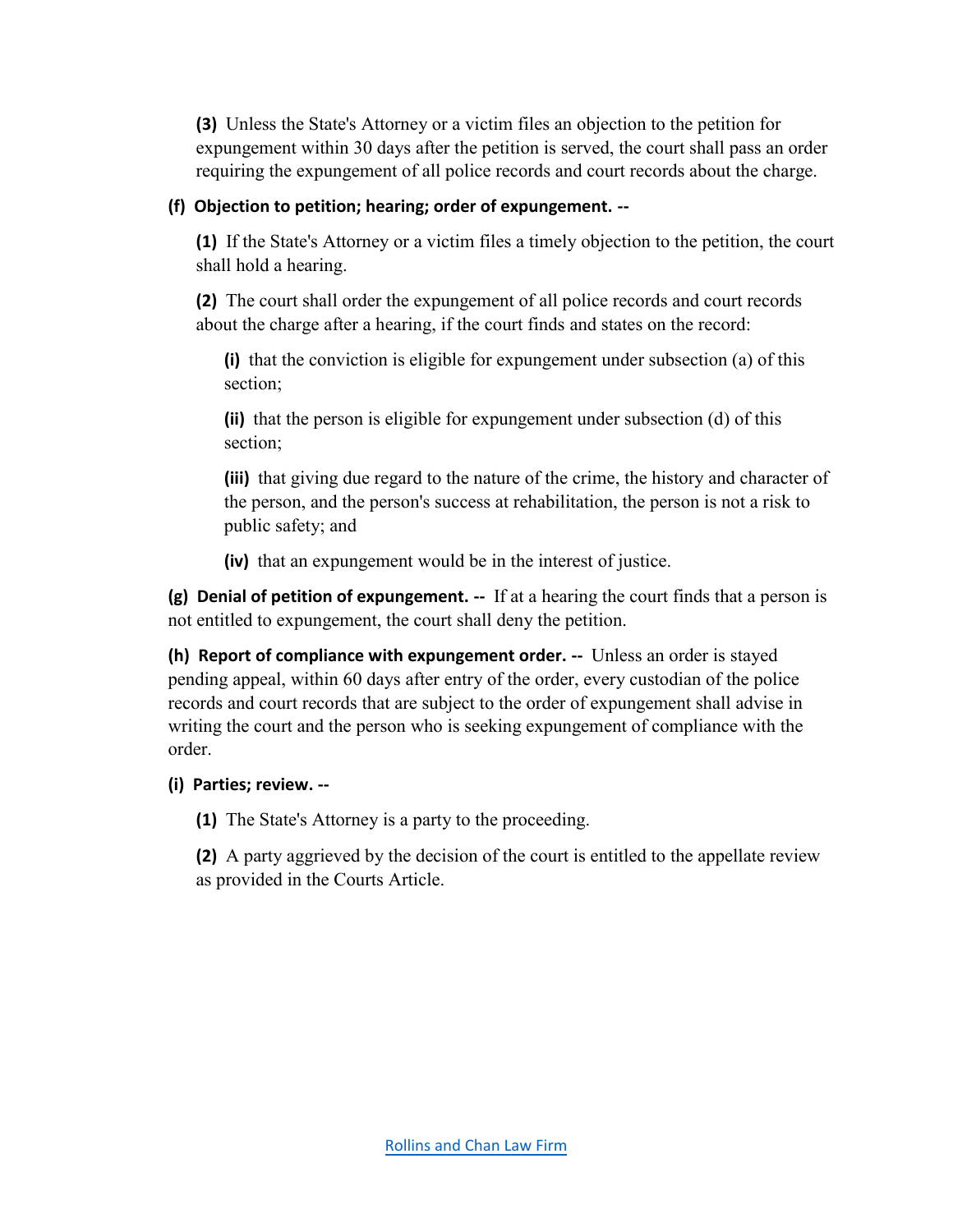**(3)** Unless the State's Attorney or a victim files an objection to the petition for expungement within 30 days after the petition is served, the court shall pass an order requiring the expungement of all police records and court records about the charge.

### **(f) Objection to petition; hearing; order of expungement. --**

**(1)** If the State's Attorney or a victim files a timely objection to the petition, the court shall hold a hearing.

**(2)** The court shall order the expungement of all police records and court records about the charge after a hearing, if the court finds and states on the record:

**(i)** that the conviction is eligible for expungement under subsection (a) of this section;

**(ii)** that the person is eligible for expungement under subsection (d) of this section;

**(iii)** that giving due regard to the nature of the crime, the history and character of the person, and the person's success at rehabilitation, the person is not a risk to public safety; and

**(iv)** that an expungement would be in the interest of justice.

**(g) Denial of petition of expungement. --** If at a hearing the court finds that a person is not entitled to expungement, the court shall deny the petition.

**(h) Report of compliance with expungement order. --** Unless an order is stayed pending appeal, within 60 days after entry of the order, every custodian of the police records and court records that are subject to the order of expungement shall advise in writing the court and the person who is seeking expungement of compliance with the order.

## **(i) Parties; review. --**

**(1)** The State's Attorney is a party to the proceeding.

**(2)** A party aggrieved by the decision of the court is entitled to the appellate review as provided in the Courts Article.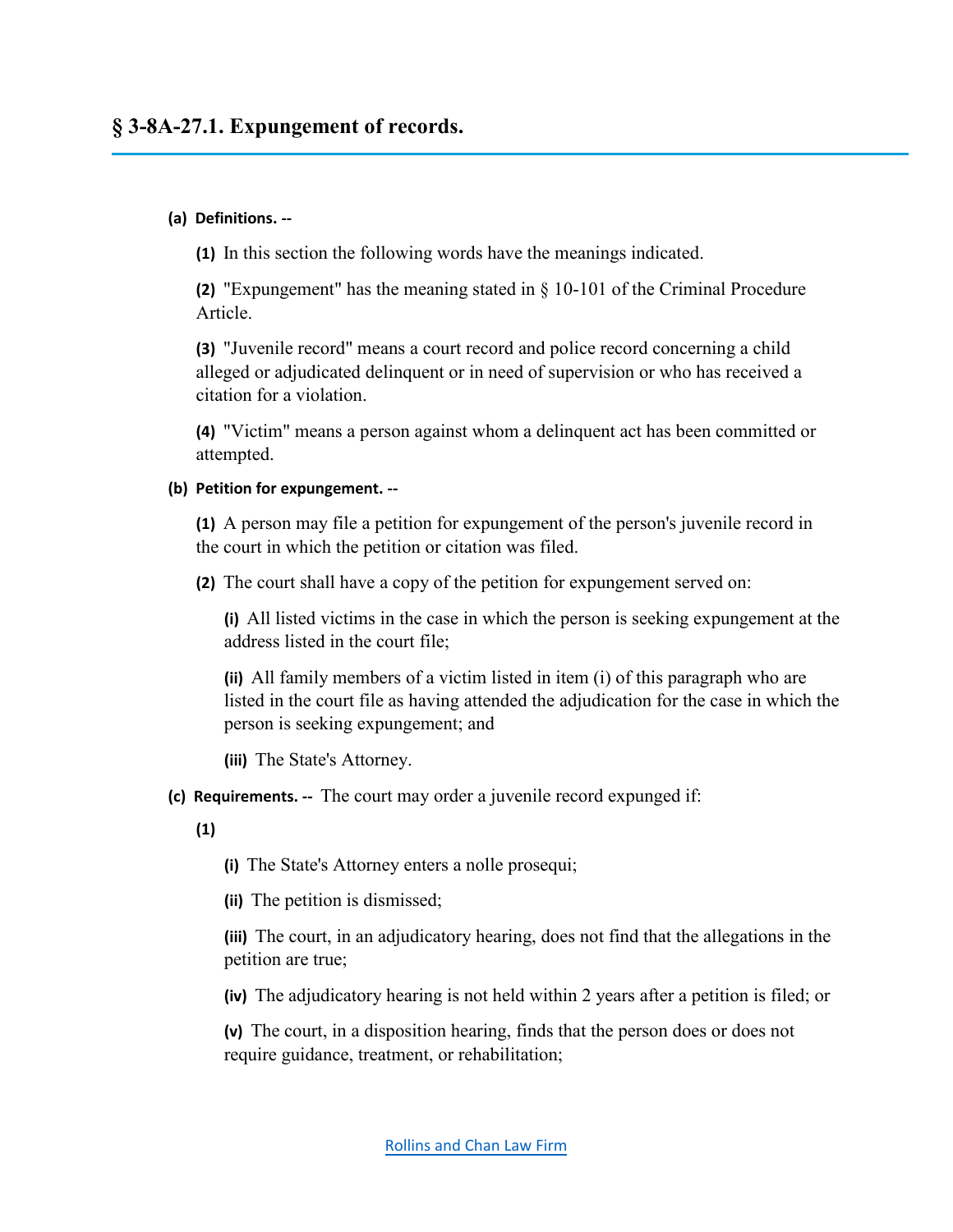# **§ 3-8A-27.1. Expungement of records.**

#### **(a) Definitions. --**

**(1)** In this section the following words have the meanings indicated.

**(2)** "Expungement" has the meaning stated in § 10-101 of the Criminal Procedure Article.

**(3)** "Juvenile record" means a court record and police record concerning a child alleged or adjudicated delinquent or in need of supervision or who has received a citation for a violation.

**(4)** "Victim" means a person against whom a delinquent act has been committed or attempted.

#### **(b) Petition for expungement. --**

**(1)** A person may file a petition for expungement of the person's juvenile record in the court in which the petition or citation was filed.

**(2)** The court shall have a copy of the petition for expungement served on:

**(i)** All listed victims in the case in which the person is seeking expungement at the address listed in the court file;

**(ii)** All family members of a victim listed in item (i) of this paragraph who are listed in the court file as having attended the adjudication for the case in which the person is seeking expungement; and

**(iii)** The State's Attorney.

**(c) Requirements. --** The court may order a juvenile record expunged if:

**(1)**

**(i)** The State's Attorney enters a nolle prosequi;

**(ii)** The petition is dismissed;

**(iii)** The court, in an adjudicatory hearing, does not find that the allegations in the petition are true;

**(iv)** The adjudicatory hearing is not held within 2 years after a petition is filed; or

**(v)** The court, in a disposition hearing, finds that the person does or does not require guidance, treatment, or rehabilitation;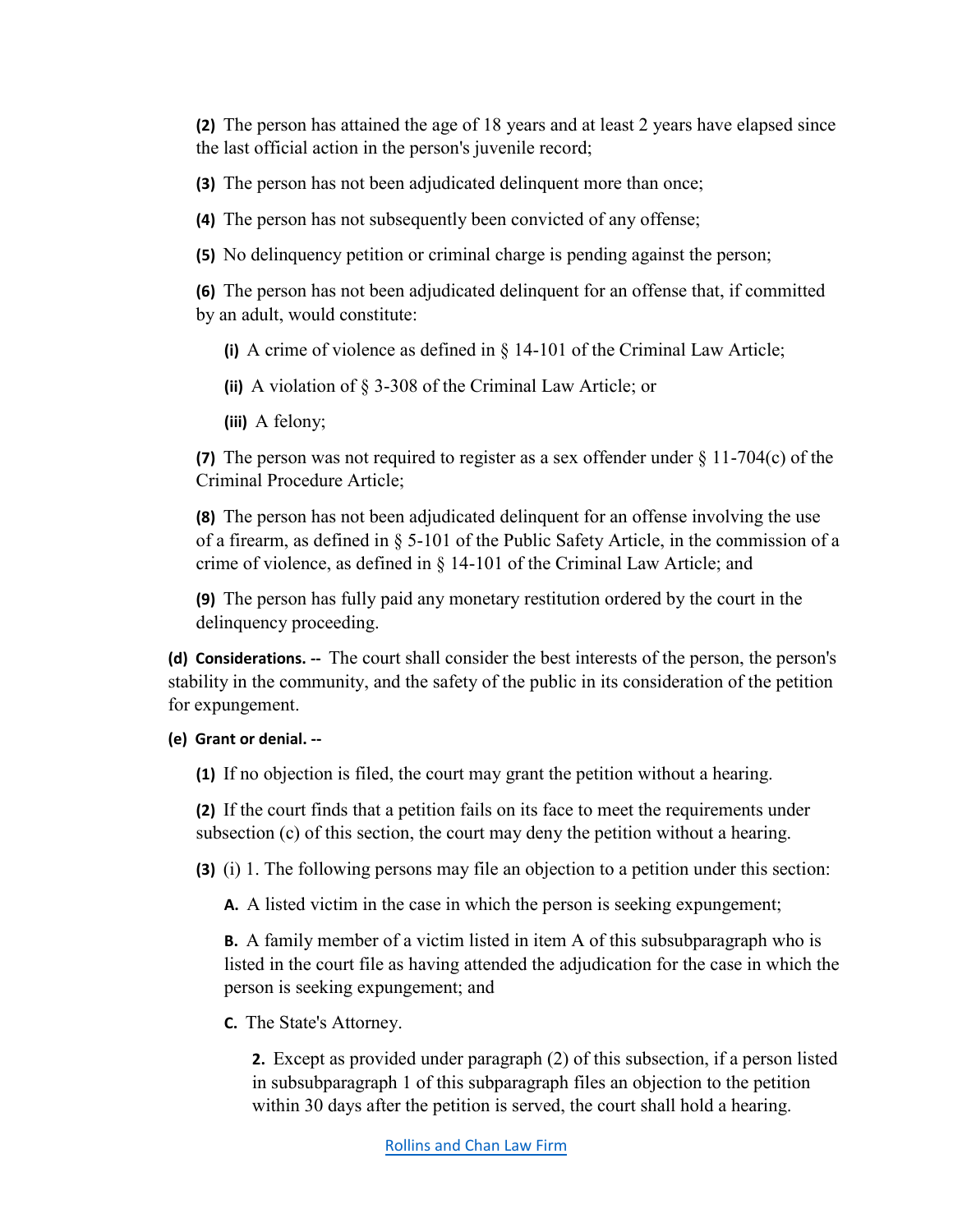**(2)** The person has attained the age of 18 years and at least 2 years have elapsed since the last official action in the person's juvenile record;

**(3)** The person has not been adjudicated delinquent more than once;

**(4)** The person has not subsequently been convicted of any offense;

**(5)** No delinquency petition or criminal charge is pending against the person;

**(6)** The person has not been adjudicated delinquent for an offense that, if committed by an adult, would constitute:

**(i)** A crime of violence as defined in § 14-101 of the Criminal Law Article;

**(ii)** A violation of § 3-308 of the Criminal Law Article; or

**(iii)** A felony;

**(7)** The person was not required to register as a sex offender under § 11-704(c) of the Criminal Procedure Article;

**(8)** The person has not been adjudicated delinquent for an offense involving the use of a firearm, as defined in § 5-101 of the Public Safety Article, in the commission of a crime of violence, as defined in § 14-101 of the Criminal Law Article; and

**(9)** The person has fully paid any monetary restitution ordered by the court in the delinquency proceeding.

**(d) Considerations. --** The court shall consider the best interests of the person, the person's stability in the community, and the safety of the public in its consideration of the petition for expungement.

**(e) Grant or denial. --**

**(1)** If no objection is filed, the court may grant the petition without a hearing.

**(2)** If the court finds that a petition fails on its face to meet the requirements under subsection (c) of this section, the court may deny the petition without a hearing.

**(3)** (i) 1. The following persons may file an objection to a petition under this section:

**A.** A listed victim in the case in which the person is seeking expungement;

**B.** A family member of a victim listed in item A of this subsubparagraph who is listed in the court file as having attended the adjudication for the case in which the person is seeking expungement; and

**C.** The State's Attorney.

**2.** Except as provided under paragraph (2) of this subsection, if a person listed in subsubparagraph 1 of this subparagraph files an objection to the petition within 30 days after the petition is served, the court shall hold a hearing.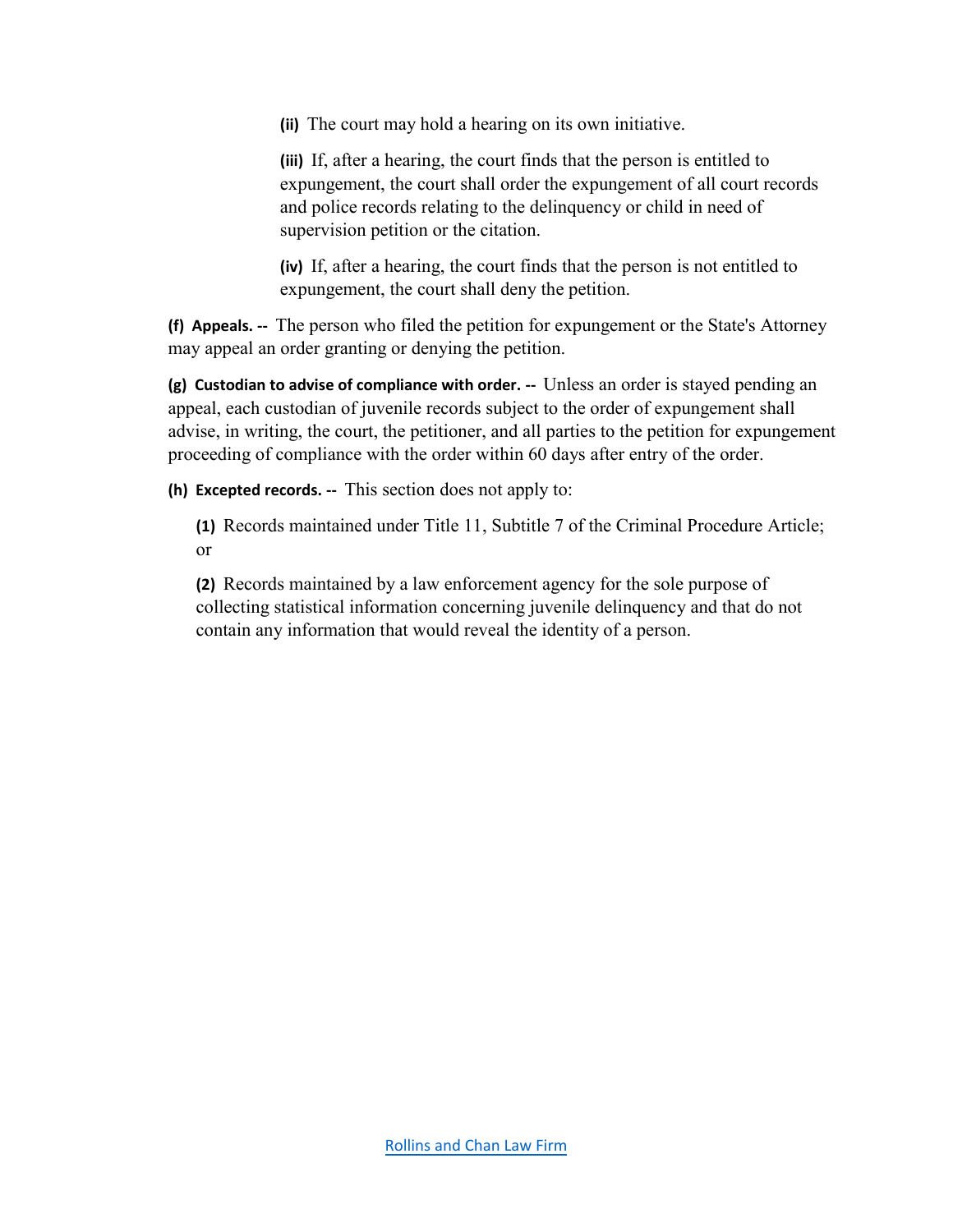**(ii)** The court may hold a hearing on its own initiative.

**(iii)** If, after a hearing, the court finds that the person is entitled to expungement, the court shall order the expungement of all court records and police records relating to the delinquency or child in need of supervision petition or the citation.

**(iv)** If, after a hearing, the court finds that the person is not entitled to expungement, the court shall deny the petition.

**(f) Appeals. --** The person who filed the petition for expungement or the State's Attorney may appeal an order granting or denying the petition.

**(g) Custodian to advise of compliance with order. --** Unless an order is stayed pending an appeal, each custodian of juvenile records subject to the order of expungement shall advise, in writing, the court, the petitioner, and all parties to the petition for expungement proceeding of compliance with the order within 60 days after entry of the order.

**(h) Excepted records. --** This section does not apply to:

**(1)** Records maintained under Title 11, Subtitle 7 of the Criminal Procedure Article; or

**(2)** Records maintained by a law enforcement agency for the sole purpose of collecting statistical information concerning juvenile delinquency and that do not contain any information that would reveal the identity of a person.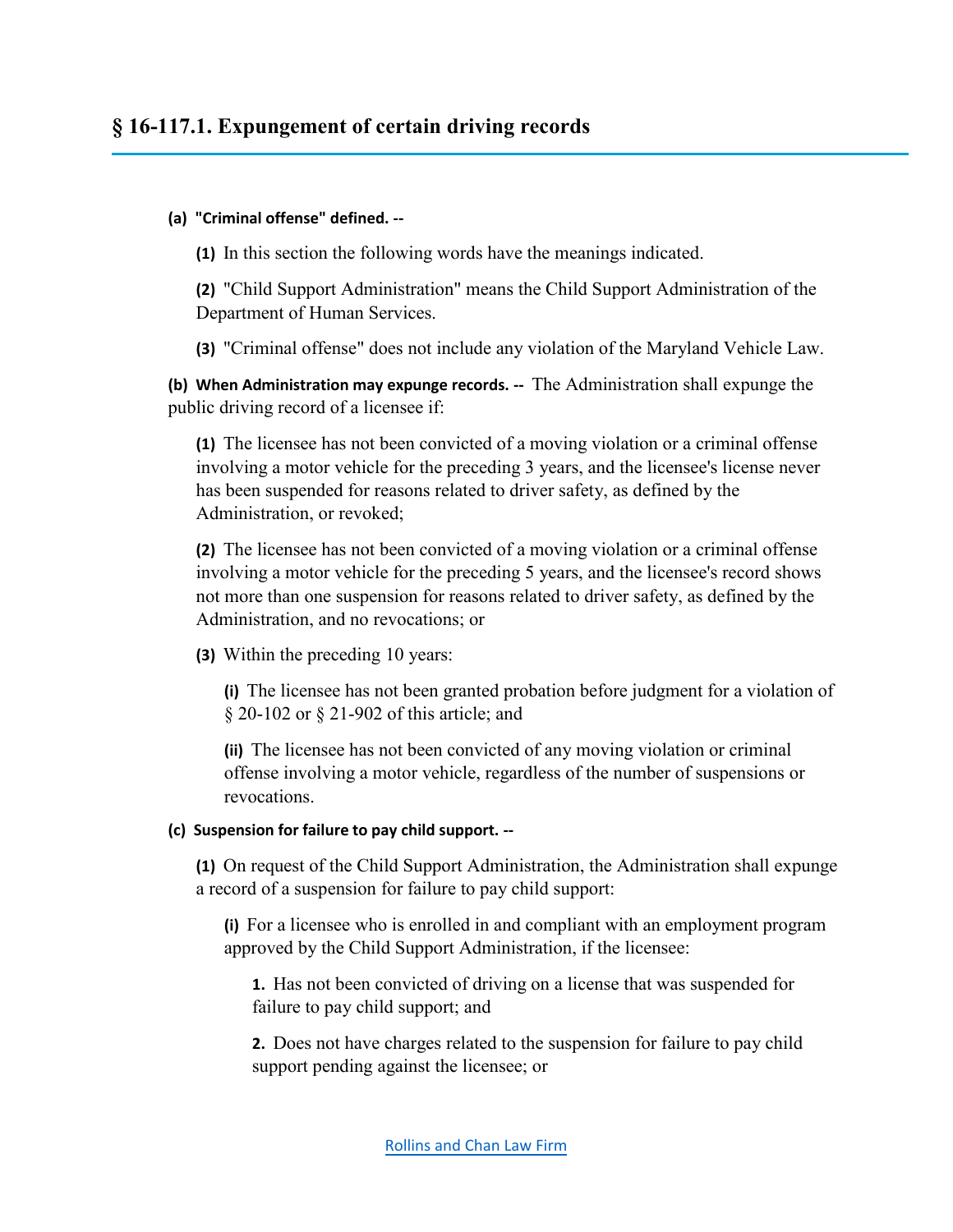# **§ 16-117.1. Expungement of certain driving records**

#### **(a) "Criminal offense" defined. --**

**(1)** In this section the following words have the meanings indicated.

**(2)** "Child Support Administration" means the Child Support Administration of the Department of Human Services.

**(3)** "Criminal offense" does not include any violation of the Maryland Vehicle Law.

**(b) When Administration may expunge records. --** The Administration shall expunge the public driving record of a licensee if:

**(1)** The licensee has not been convicted of a moving violation or a criminal offense involving a motor vehicle for the preceding 3 years, and the licensee's license never has been suspended for reasons related to driver safety, as defined by the Administration, or revoked;

**(2)** The licensee has not been convicted of a moving violation or a criminal offense involving a motor vehicle for the preceding 5 years, and the licensee's record shows not more than one suspension for reasons related to driver safety, as defined by the Administration, and no revocations; or

**(3)** Within the preceding 10 years:

**(i)** The licensee has not been granted probation before judgment for a violation of § 20-102 or § 21-902 of this article; and

**(ii)** The licensee has not been convicted of any moving violation or criminal offense involving a motor vehicle, regardless of the number of suspensions or revocations.

#### **(c) Suspension for failure to pay child support. --**

**(1)** On request of the Child Support Administration, the Administration shall expunge a record of a suspension for failure to pay child support:

**(i)** For a licensee who is enrolled in and compliant with an employment program approved by the Child Support Administration, if the licensee:

**1.** Has not been convicted of driving on a license that was suspended for failure to pay child support; and

**2.** Does not have charges related to the suspension for failure to pay child support pending against the licensee; or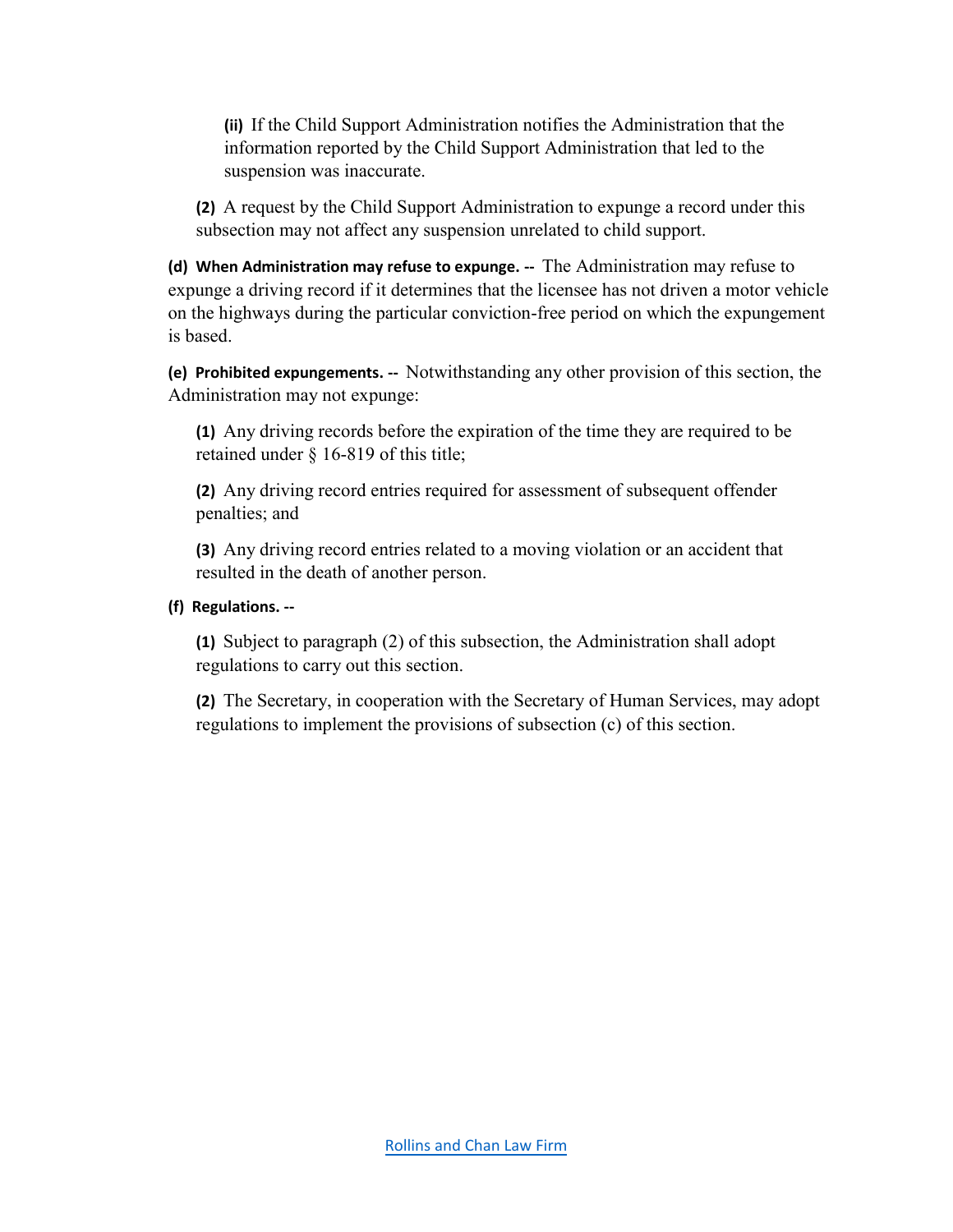**(ii)** If the Child Support Administration notifies the Administration that the information reported by the Child Support Administration that led to the suspension was inaccurate.

**(2)** A request by the Child Support Administration to expunge a record under this subsection may not affect any suspension unrelated to child support.

**(d) When Administration may refuse to expunge. --** The Administration may refuse to expunge a driving record if it determines that the licensee has not driven a motor vehicle on the highways during the particular conviction-free period on which the expungement is based.

**(e) Prohibited expungements. --** Notwithstanding any other provision of this section, the Administration may not expunge:

**(1)** Any driving records before the expiration of the time they are required to be retained under § 16-819 of this title;

**(2)** Any driving record entries required for assessment of subsequent offender penalties; and

**(3)** Any driving record entries related to a moving violation or an accident that resulted in the death of another person.

#### **(f) Regulations. --**

**(1)** Subject to paragraph (2) of this subsection, the Administration shall adopt regulations to carry out this section.

**(2)** The Secretary, in cooperation with the Secretary of Human Services, may adopt regulations to implement the provisions of subsection (c) of this section.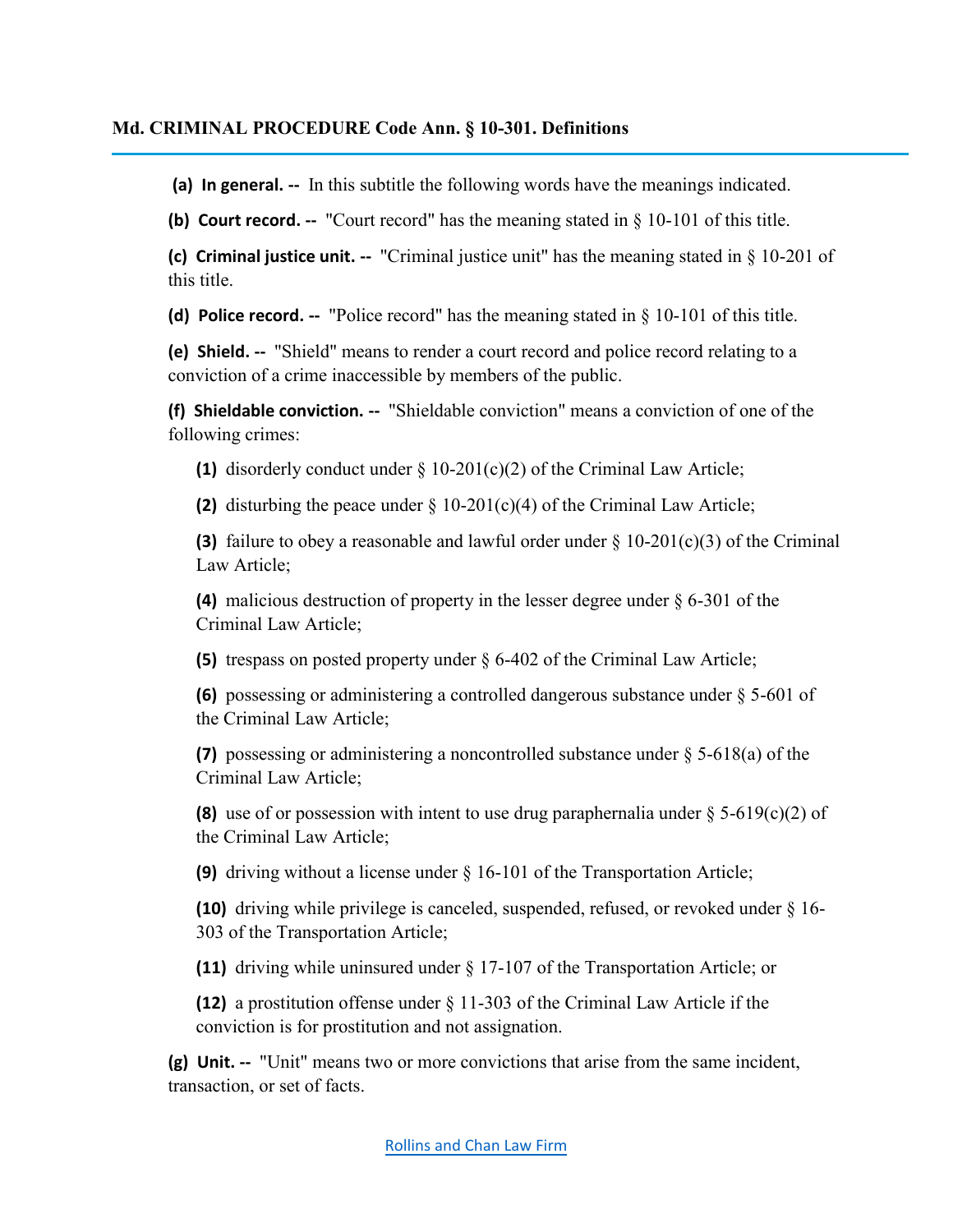#### **Md. CRIMINAL PROCEDURE Code Ann. § 10-301. Definitions**

**(a) In general. --** In this subtitle the following words have the meanings indicated.

**(b) Court record. --** "Court record" has the meaning stated in § 10-101 of this title.

**(c) Criminal justice unit. --** "Criminal justice unit" has the meaning stated in § 10-201 of this title.

**(d) Police record. --** "Police record" has the meaning stated in § 10-101 of this title.

**(e) Shield. --** "Shield" means to render a court record and police record relating to a conviction of a crime inaccessible by members of the public.

**(f) Shieldable conviction. --** "Shieldable conviction" means a conviction of one of the following crimes:

**(1)** disorderly conduct under  $\S$  10-201(c)(2) of the Criminal Law Article;

**(2)** disturbing the peace under § 10-201(c)(4) of the Criminal Law Article;

**(3)** failure to obey a reasonable and lawful order under § 10-201(c)(3) of the Criminal Law Article;

**(4)** malicious destruction of property in the lesser degree under § 6-301 of the Criminal Law Article;

**(5)** trespass on posted property under § 6-402 of the Criminal Law Article;

**(6)** possessing or administering a controlled dangerous substance under § 5-601 of the Criminal Law Article;

**(7)** possessing or administering a noncontrolled substance under § 5-618(a) of the Criminal Law Article;

**(8)** use of or possession with intent to use drug paraphernalia under  $\S$  5-619(c)(2) of the Criminal Law Article;

**(9)** driving without a license under § 16-101 of the Transportation Article;

**(10)** driving while privilege is canceled, suspended, refused, or revoked under § 16- 303 of the Transportation Article;

**(11)** driving while uninsured under § 17-107 of the Transportation Article; or

**(12)** a prostitution offense under § 11-303 of the Criminal Law Article if the conviction is for prostitution and not assignation.

**(g) Unit. --** "Unit" means two or more convictions that arise from the same incident, transaction, or set of facts.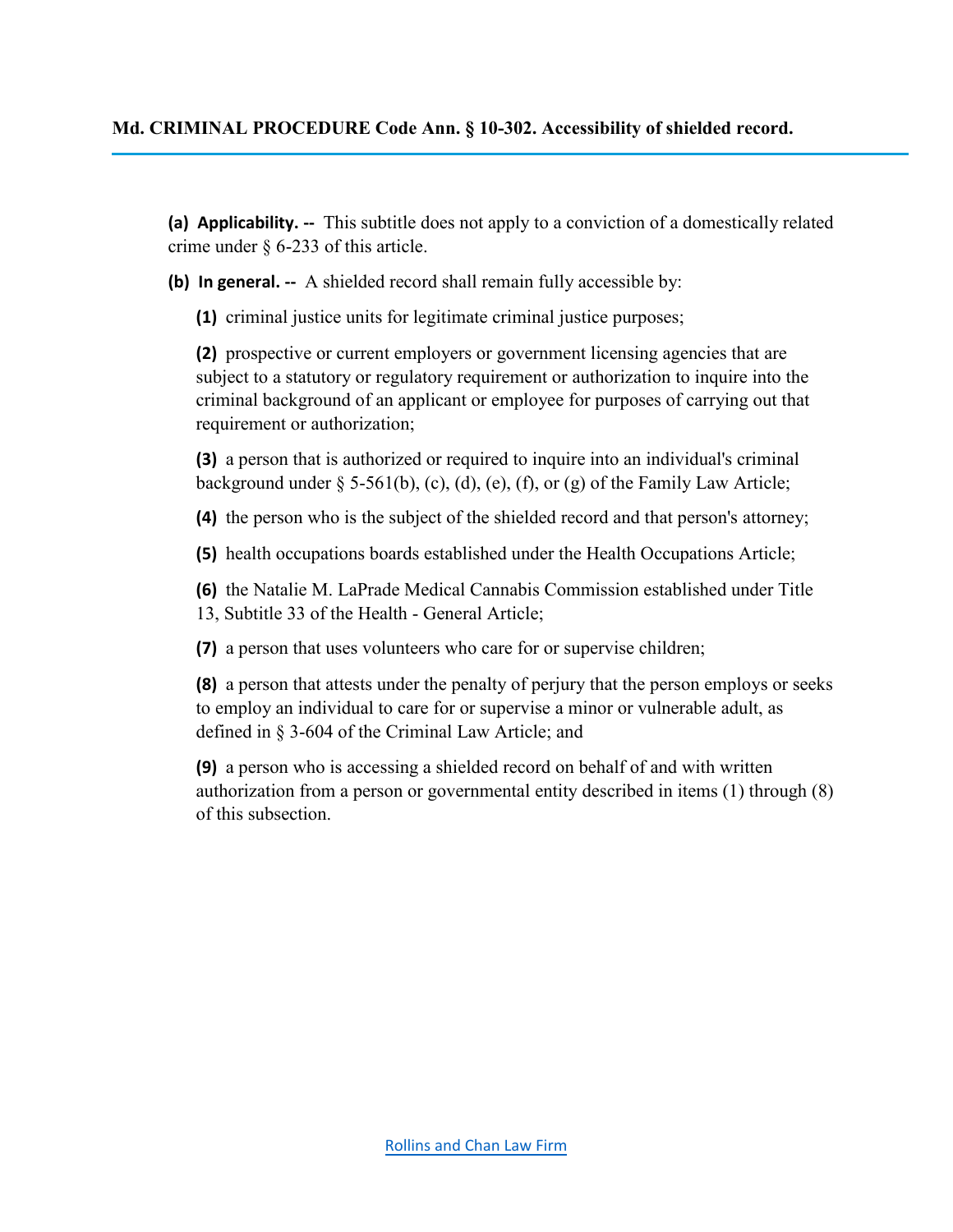**(a) Applicability. --** This subtitle does not apply to a conviction of a domestically related crime under § 6-233 of this article.

**(b) In general. --** A shielded record shall remain fully accessible by:

**(1)** criminal justice units for legitimate criminal justice purposes;

**(2)** prospective or current employers or government licensing agencies that are subject to a statutory or regulatory requirement or authorization to inquire into the criminal background of an applicant or employee for purposes of carrying out that requirement or authorization;

**(3)** a person that is authorized or required to inquire into an individual's criminal background under  $\S$  5-561(b), (c), (d), (e), (f), or (g) of the Family Law Article;

**(4)** the person who is the subject of the shielded record and that person's attorney;

**(5)** health occupations boards established under the Health Occupations Article;

**(6)** the Natalie M. LaPrade Medical Cannabis Commission established under Title 13, Subtitle 33 of the Health - General Article;

**(7)** a person that uses volunteers who care for or supervise children;

**(8)** a person that attests under the penalty of perjury that the person employs or seeks to employ an individual to care for or supervise a minor or vulnerable adult, as defined in § 3-604 of the Criminal Law Article; and

**(9)** a person who is accessing a shielded record on behalf of and with written authorization from a person or governmental entity described in items (1) through (8) of this subsection.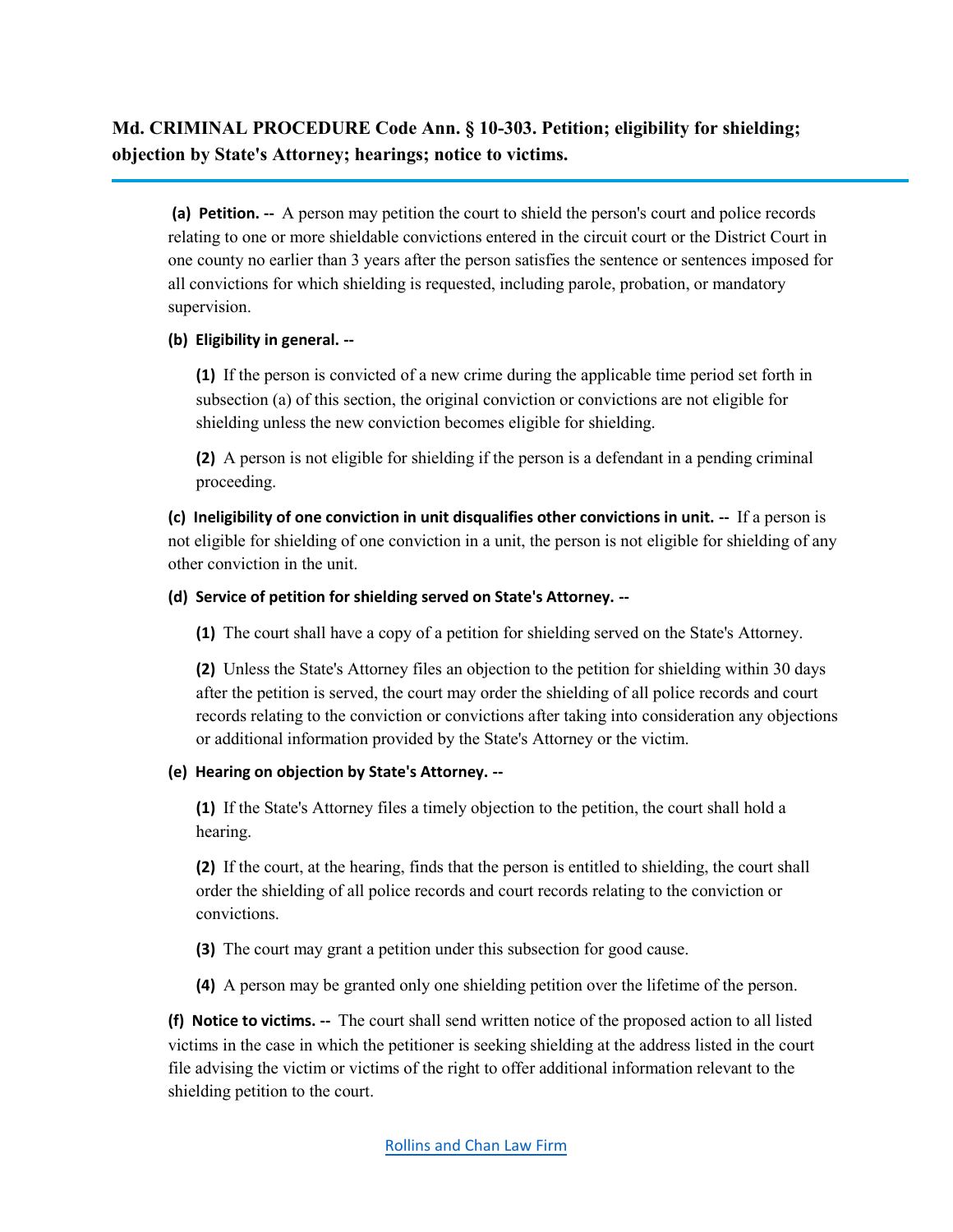**Md. CRIMINAL PROCEDURE Code Ann. § 10-303. Petition; eligibility for shielding; objection by State's Attorney; hearings; notice to victims.**

**(a) Petition. --** A person may petition the court to shield the person's court and police records relating to one or more shieldable convictions entered in the circuit court or the District Court in one county no earlier than 3 years after the person satisfies the sentence or sentences imposed for all convictions for which shielding is requested, including parole, probation, or mandatory supervision.

#### **(b) Eligibility in general. --**

**(1)** If the person is convicted of a new crime during the applicable time period set forth in subsection (a) of this section, the original conviction or convictions are not eligible for shielding unless the new conviction becomes eligible for shielding.

**(2)** A person is not eligible for shielding if the person is a defendant in a pending criminal proceeding.

**(c) Ineligibility of one conviction in unit disqualifies other convictions in unit. --** If a person is not eligible for shielding of one conviction in a unit, the person is not eligible for shielding of any other conviction in the unit.

#### **(d) Service of petition for shielding served on State's Attorney. --**

**(1)** The court shall have a copy of a petition for shielding served on the State's Attorney.

**(2)** Unless the State's Attorney files an objection to the petition for shielding within 30 days after the petition is served, the court may order the shielding of all police records and court records relating to the conviction or convictions after taking into consideration any objections or additional information provided by the State's Attorney or the victim.

#### **(e) Hearing on objection by State's Attorney. --**

**(1)** If the State's Attorney files a timely objection to the petition, the court shall hold a hearing.

**(2)** If the court, at the hearing, finds that the person is entitled to shielding, the court shall order the shielding of all police records and court records relating to the conviction or convictions.

- **(3)** The court may grant a petition under this subsection for good cause.
- **(4)** A person may be granted only one shielding petition over the lifetime of the person.

**(f) Notice to victims. --** The court shall send written notice of the proposed action to all listed victims in the case in which the petitioner is seeking shielding at the address listed in the court file advising the victim or victims of the right to offer additional information relevant to the shielding petition to the court.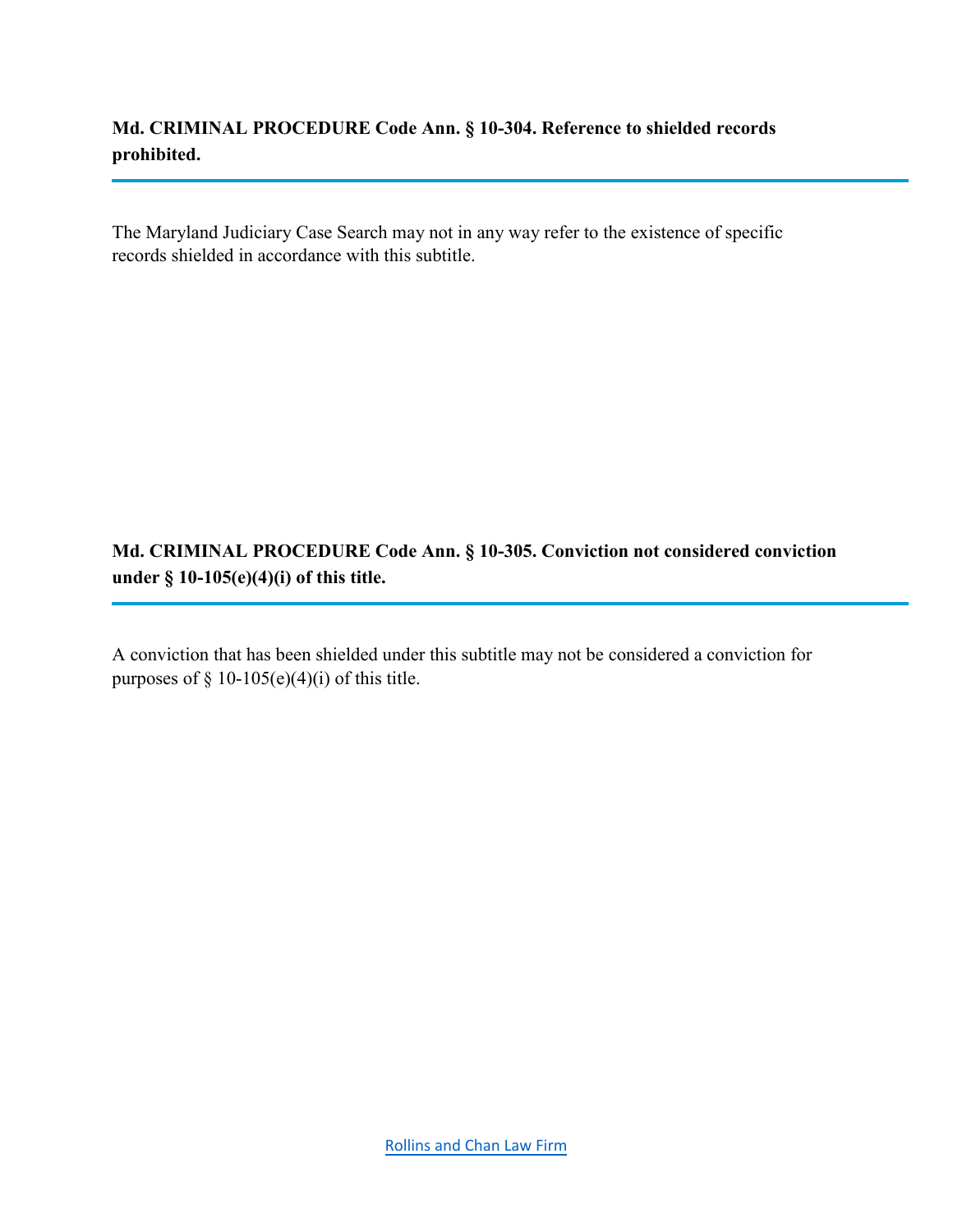**Md. CRIMINAL PROCEDURE Code Ann. § 10-304. Reference to shielded records prohibited.**

The Maryland Judiciary Case Search may not in any way refer to the existence of specific records shielded in accordance with this subtitle.

**Md. CRIMINAL PROCEDURE Code Ann. § 10-305. Conviction not considered conviction under § 10-105(e)(4)(i) of this title.**

A conviction that has been shielded under this subtitle may not be considered a conviction for purposes of  $\S$  10-105(e)(4)(i) of this title.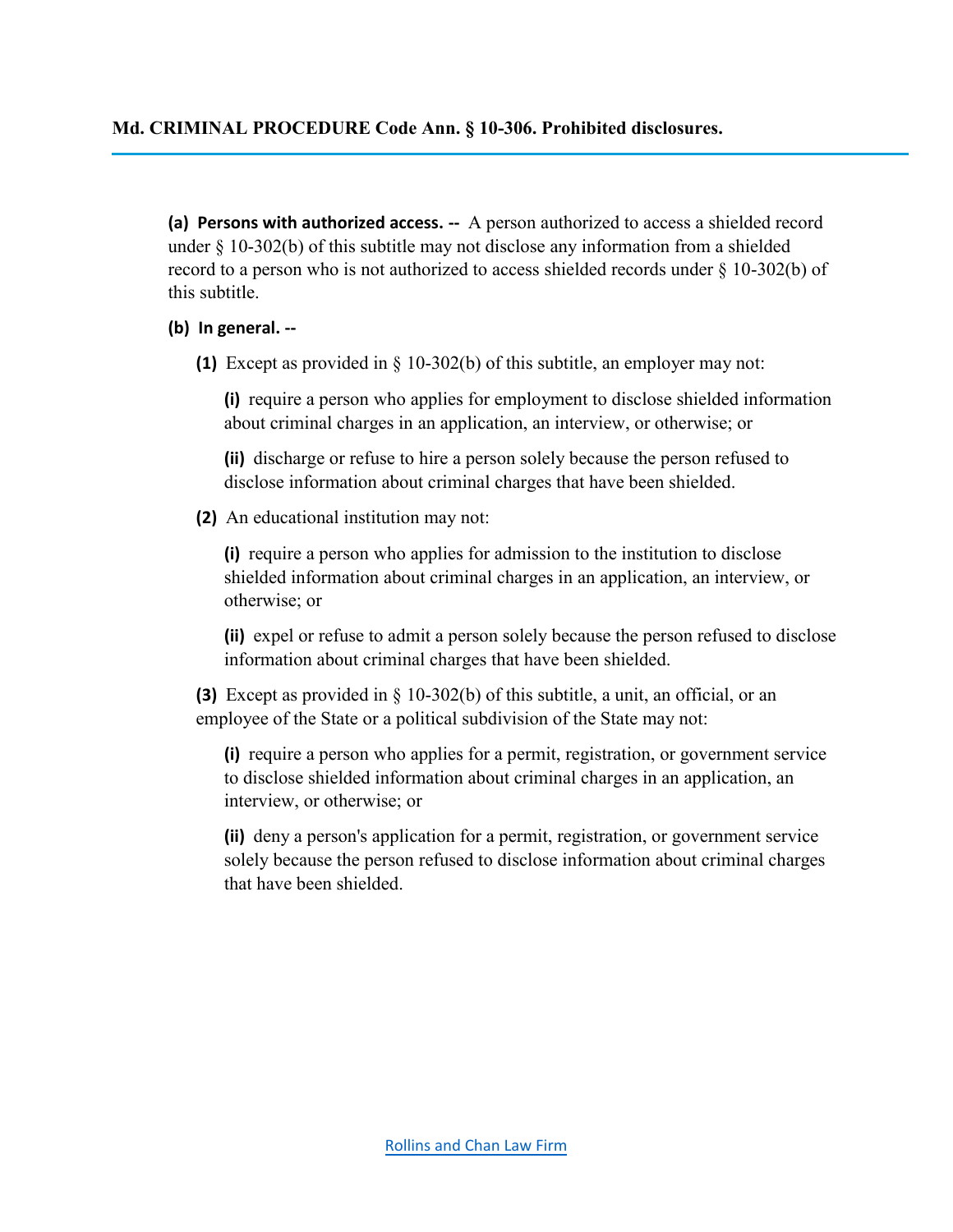**(a) Persons with authorized access. --** A person authorized to access a shielded record under  $\S$  10-302(b) of this subtitle may not disclose any information from a shielded record to a person who is not authorized to access shielded records under § 10-302(b) of this subtitle.

#### **(b) In general. --**

**(1)** Except as provided in § 10-302(b) of this subtitle, an employer may not:

**(i)** require a person who applies for employment to disclose shielded information about criminal charges in an application, an interview, or otherwise; or

**(ii)** discharge or refuse to hire a person solely because the person refused to disclose information about criminal charges that have been shielded.

**(2)** An educational institution may not:

**(i)** require a person who applies for admission to the institution to disclose shielded information about criminal charges in an application, an interview, or otherwise; or

**(ii)** expel or refuse to admit a person solely because the person refused to disclose information about criminal charges that have been shielded.

**(3)** Except as provided in § 10-302(b) of this subtitle, a unit, an official, or an employee of the State or a political subdivision of the State may not:

**(i)** require a person who applies for a permit, registration, or government service to disclose shielded information about criminal charges in an application, an interview, or otherwise; or

**(ii)** deny a person's application for a permit, registration, or government service solely because the person refused to disclose information about criminal charges that have been shielded.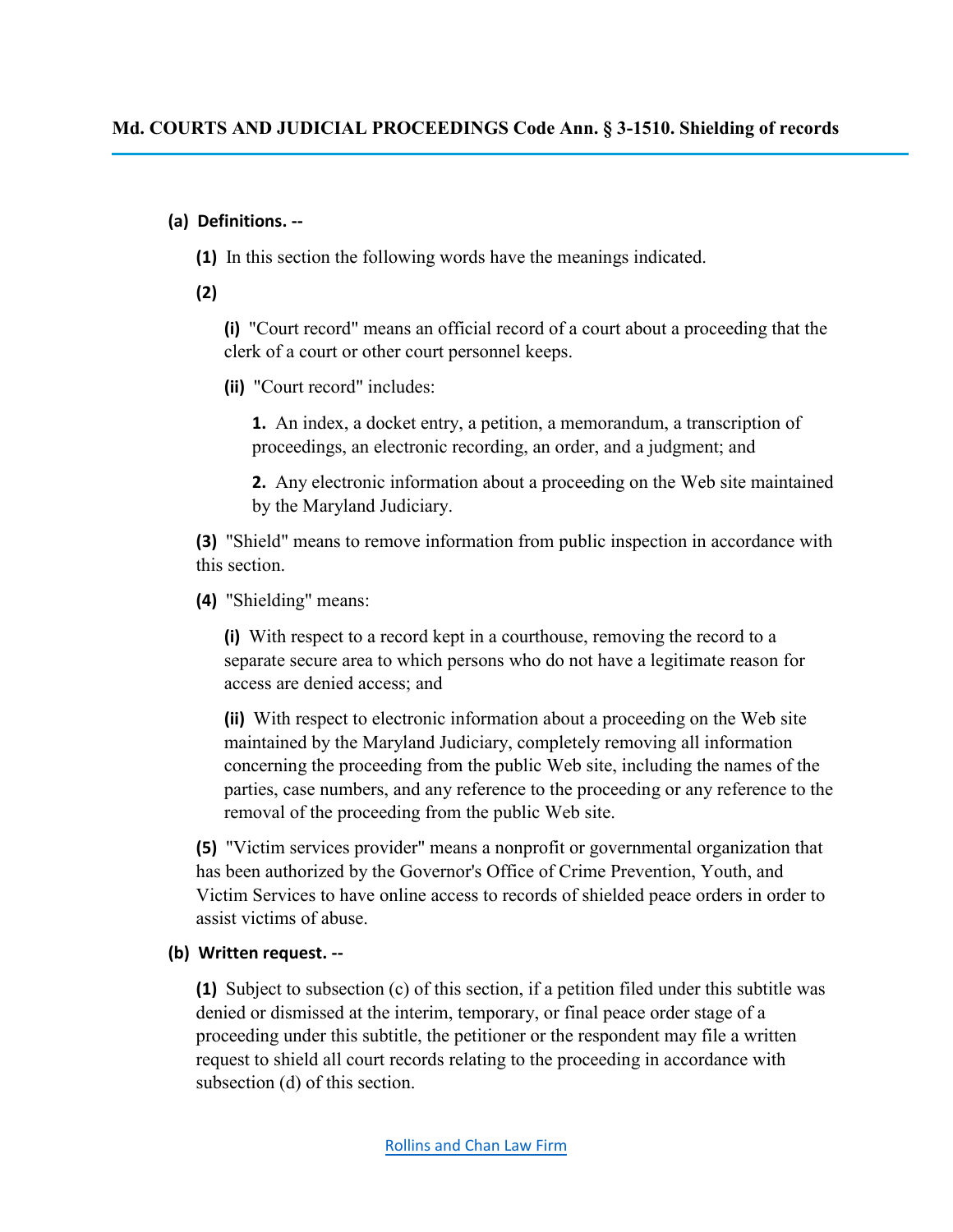### **(a) Definitions. --**

**(1)** In this section the following words have the meanings indicated.

**(2)** 

**(i)** "Court record" means an official record of a court about a proceeding that the clerk of a court or other court personnel keeps.

**(ii)** "Court record" includes:

**1.** An index, a docket entry, a petition, a memorandum, a transcription of proceedings, an electronic recording, an order, and a judgment; and

**2.** Any electronic information about a proceeding on the Web site maintained by the Maryland Judiciary.

**(3)** "Shield" means to remove information from public inspection in accordance with this section.

**(4)** "Shielding" means:

**(i)** With respect to a record kept in a courthouse, removing the record to a separate secure area to which persons who do not have a legitimate reason for access are denied access; and

**(ii)** With respect to electronic information about a proceeding on the Web site maintained by the Maryland Judiciary, completely removing all information concerning the proceeding from the public Web site, including the names of the parties, case numbers, and any reference to the proceeding or any reference to the removal of the proceeding from the public Web site.

**(5)** "Victim services provider" means a nonprofit or governmental organization that has been authorized by the Governor's Office of Crime Prevention, Youth, and Victim Services to have online access to records of shielded peace orders in order to assist victims of abuse.

## **(b) Written request. --**

**(1)** Subject to subsection (c) of this section, if a petition filed under this subtitle was denied or dismissed at the interim, temporary, or final peace order stage of a proceeding under this subtitle, the petitioner or the respondent may file a written request to shield all court records relating to the proceeding in accordance with subsection (d) of this section.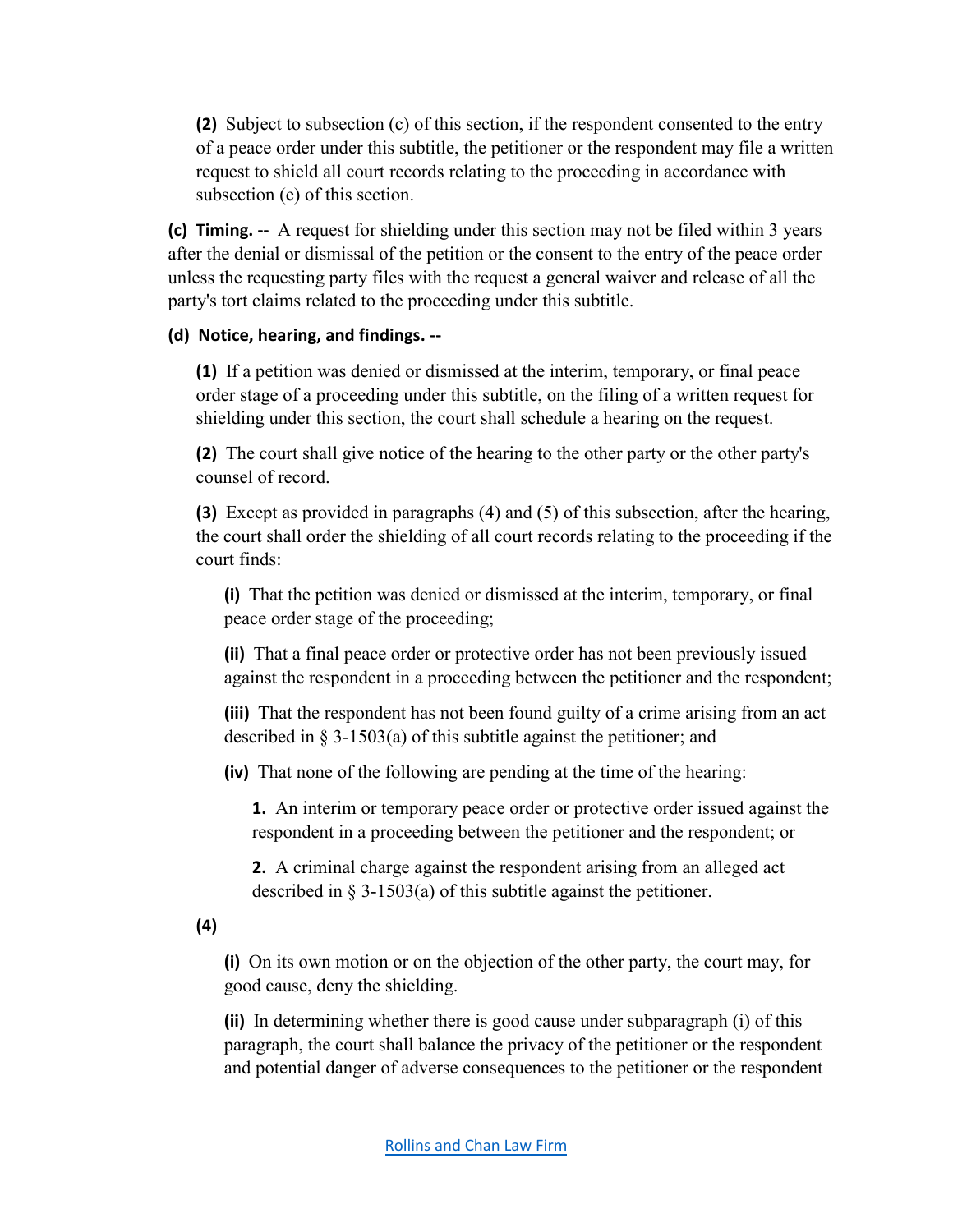**(2)** Subject to subsection (c) of this section, if the respondent consented to the entry of a peace order under this subtitle, the petitioner or the respondent may file a written request to shield all court records relating to the proceeding in accordance with subsection (e) of this section.

**(c) Timing. --** A request for shielding under this section may not be filed within 3 years after the denial or dismissal of the petition or the consent to the entry of the peace order unless the requesting party files with the request a general waiver and release of all the party's tort claims related to the proceeding under this subtitle.

#### **(d) Notice, hearing, and findings. --**

**(1)** If a petition was denied or dismissed at the interim, temporary, or final peace order stage of a proceeding under this subtitle, on the filing of a written request for shielding under this section, the court shall schedule a hearing on the request.

**(2)** The court shall give notice of the hearing to the other party or the other party's counsel of record.

**(3)** Except as provided in paragraphs (4) and (5) of this subsection, after the hearing, the court shall order the shielding of all court records relating to the proceeding if the court finds:

**(i)** That the petition was denied or dismissed at the interim, temporary, or final peace order stage of the proceeding;

**(ii)** That a final peace order or protective order has not been previously issued against the respondent in a proceeding between the petitioner and the respondent;

**(iii)** That the respondent has not been found guilty of a crime arising from an act described in § 3-1503(a) of this subtitle against the petitioner; and

**(iv)** That none of the following are pending at the time of the hearing:

**1.** An interim or temporary peace order or protective order issued against the respondent in a proceeding between the petitioner and the respondent; or

**2.** A criminal charge against the respondent arising from an alleged act described in  $\S 3-1503(a)$  of this subtitle against the petitioner.

**(4)** 

**(i)** On its own motion or on the objection of the other party, the court may, for good cause, deny the shielding.

**(ii)** In determining whether there is good cause under subparagraph (i) of this paragraph, the court shall balance the privacy of the petitioner or the respondent and potential danger of adverse consequences to the petitioner or the respondent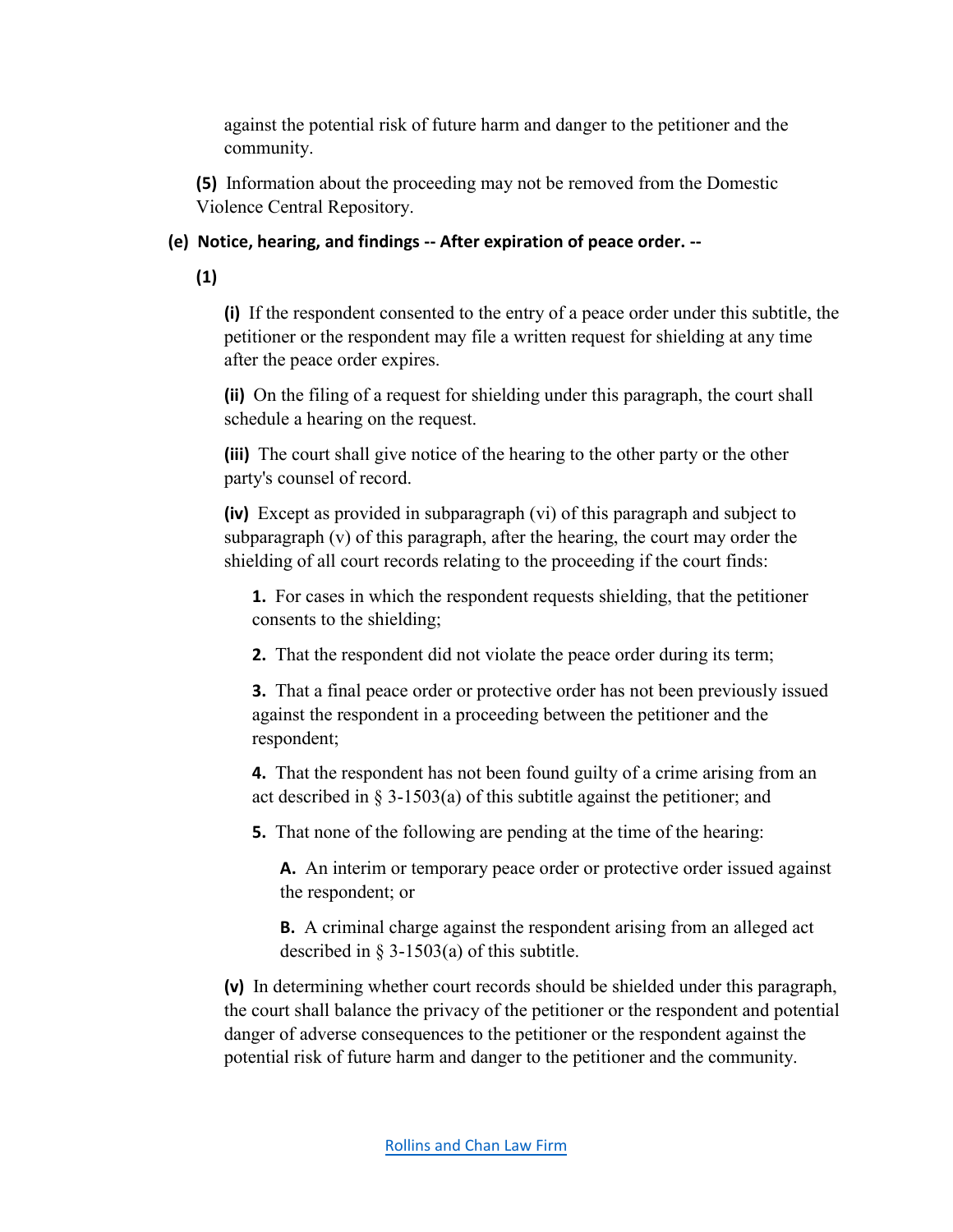against the potential risk of future harm and danger to the petitioner and the community.

**(5)** Information about the proceeding may not be removed from the Domestic Violence Central Repository.

## **(e) Notice, hearing, and findings -- After expiration of peace order. --**

**(1)**

**(i)** If the respondent consented to the entry of a peace order under this subtitle, the petitioner or the respondent may file a written request for shielding at any time after the peace order expires.

**(ii)** On the filing of a request for shielding under this paragraph, the court shall schedule a hearing on the request.

**(iii)** The court shall give notice of the hearing to the other party or the other party's counsel of record.

**(iv)** Except as provided in subparagraph (vi) of this paragraph and subject to subparagraph (v) of this paragraph, after the hearing, the court may order the shielding of all court records relating to the proceeding if the court finds:

**1.** For cases in which the respondent requests shielding, that the petitioner consents to the shielding;

**2.** That the respondent did not violate the peace order during its term;

**3.** That a final peace order or protective order has not been previously issued against the respondent in a proceeding between the petitioner and the respondent;

**4.** That the respondent has not been found guilty of a crime arising from an act described in § 3-1503(a) of this subtitle against the petitioner; and

**5.** That none of the following are pending at the time of the hearing:

**A.** An interim or temporary peace order or protective order issued against the respondent; or

**B.** A criminal charge against the respondent arising from an alleged act described in § 3-1503(a) of this subtitle.

**(v)** In determining whether court records should be shielded under this paragraph, the court shall balance the privacy of the petitioner or the respondent and potential danger of adverse consequences to the petitioner or the respondent against the potential risk of future harm and danger to the petitioner and the community.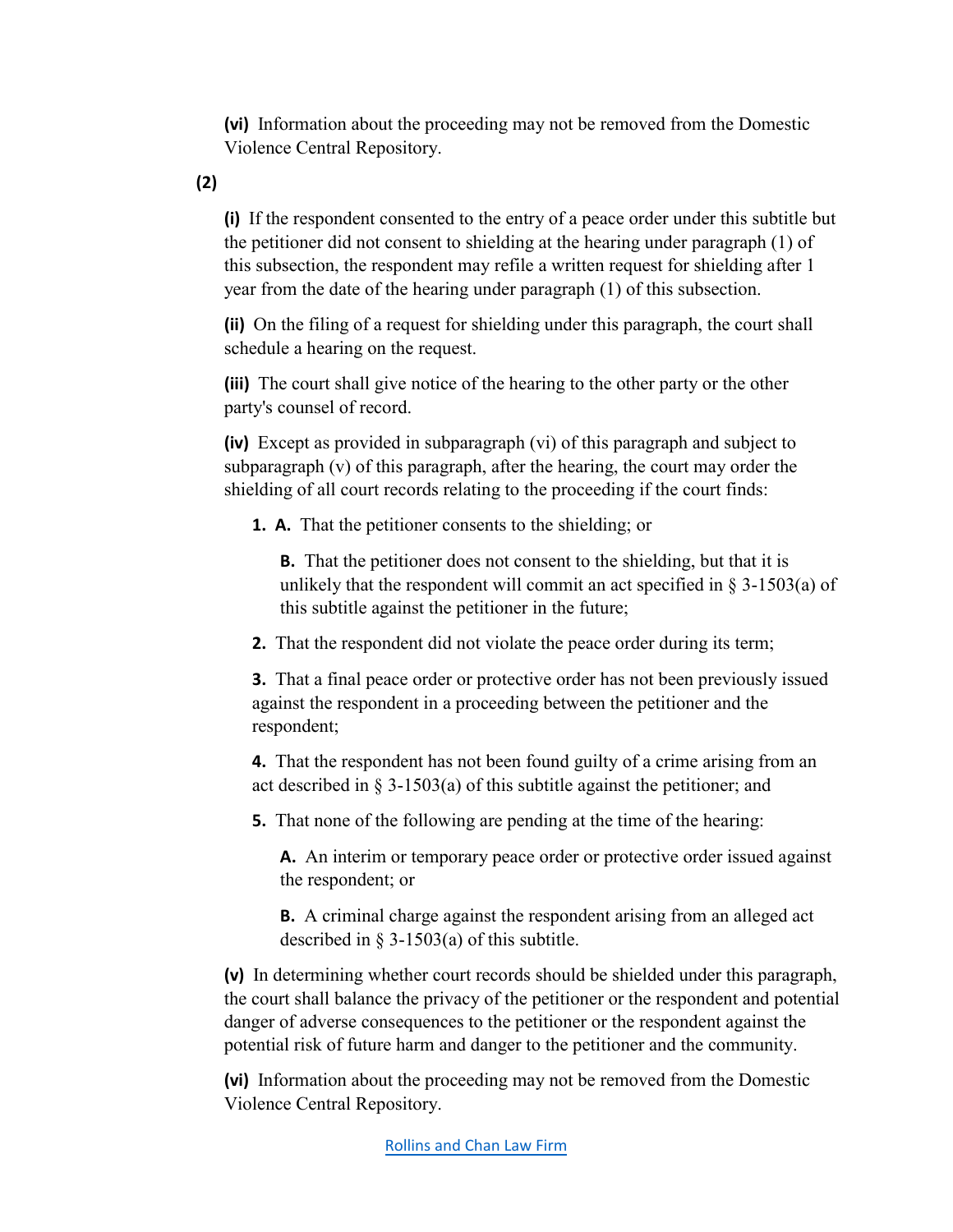**(vi)** Information about the proceeding may not be removed from the Domestic Violence Central Repository.

**(2)** 

**(i)** If the respondent consented to the entry of a peace order under this subtitle but the petitioner did not consent to shielding at the hearing under paragraph (1) of this subsection, the respondent may refile a written request for shielding after 1 year from the date of the hearing under paragraph (1) of this subsection.

**(ii)** On the filing of a request for shielding under this paragraph, the court shall schedule a hearing on the request.

**(iii)** The court shall give notice of the hearing to the other party or the other party's counsel of record.

**(iv)** Except as provided in subparagraph (vi) of this paragraph and subject to subparagraph (v) of this paragraph, after the hearing, the court may order the shielding of all court records relating to the proceeding if the court finds:

**1. A.** That the petitioner consents to the shielding; or

**B.** That the petitioner does not consent to the shielding, but that it is unlikely that the respondent will commit an act specified in  $\S$  3-1503(a) of this subtitle against the petitioner in the future;

**2.** That the respondent did not violate the peace order during its term;

**3.** That a final peace order or protective order has not been previously issued against the respondent in a proceeding between the petitioner and the respondent;

**4.** That the respondent has not been found guilty of a crime arising from an act described in  $\S$  3-1503(a) of this subtitle against the petitioner; and

**5.** That none of the following are pending at the time of the hearing:

**A.** An interim or temporary peace order or protective order issued against the respondent; or

**B.** A criminal charge against the respondent arising from an alleged act described in § 3-1503(a) of this subtitle.

**(v)** In determining whether court records should be shielded under this paragraph, the court shall balance the privacy of the petitioner or the respondent and potential danger of adverse consequences to the petitioner or the respondent against the potential risk of future harm and danger to the petitioner and the community.

**(vi)** Information about the proceeding may not be removed from the Domestic Violence Central Repository.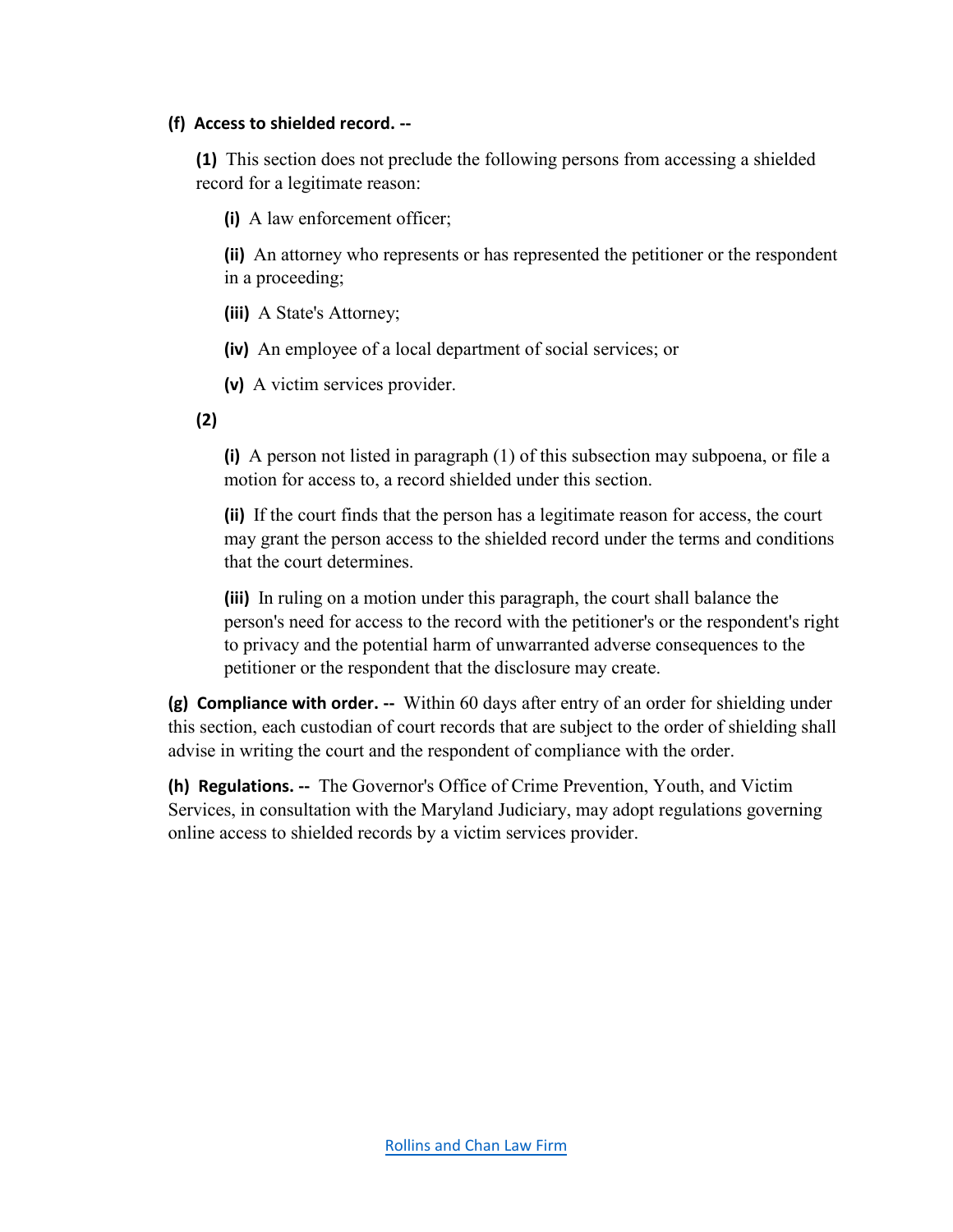#### **(f) Access to shielded record. --**

**(1)** This section does not preclude the following persons from accessing a shielded record for a legitimate reason:

**(i)** A law enforcement officer;

**(ii)** An attorney who represents or has represented the petitioner or the respondent in a proceeding;

**(iii)** A State's Attorney;

**(iv)** An employee of a local department of social services; or

**(v)** A victim services provider.

**(2)** 

**(i)** A person not listed in paragraph (1) of this subsection may subpoena, or file a motion for access to, a record shielded under this section.

**(ii)** If the court finds that the person has a legitimate reason for access, the court may grant the person access to the shielded record under the terms and conditions that the court determines.

**(iii)** In ruling on a motion under this paragraph, the court shall balance the person's need for access to the record with the petitioner's or the respondent's right to privacy and the potential harm of unwarranted adverse consequences to the petitioner or the respondent that the disclosure may create.

**(g) Compliance with order. --** Within 60 days after entry of an order for shielding under this section, each custodian of court records that are subject to the order of shielding shall advise in writing the court and the respondent of compliance with the order.

**(h) Regulations. --** The Governor's Office of Crime Prevention, Youth, and Victim Services, in consultation with the Maryland Judiciary, may adopt regulations governing online access to shielded records by a victim services provider.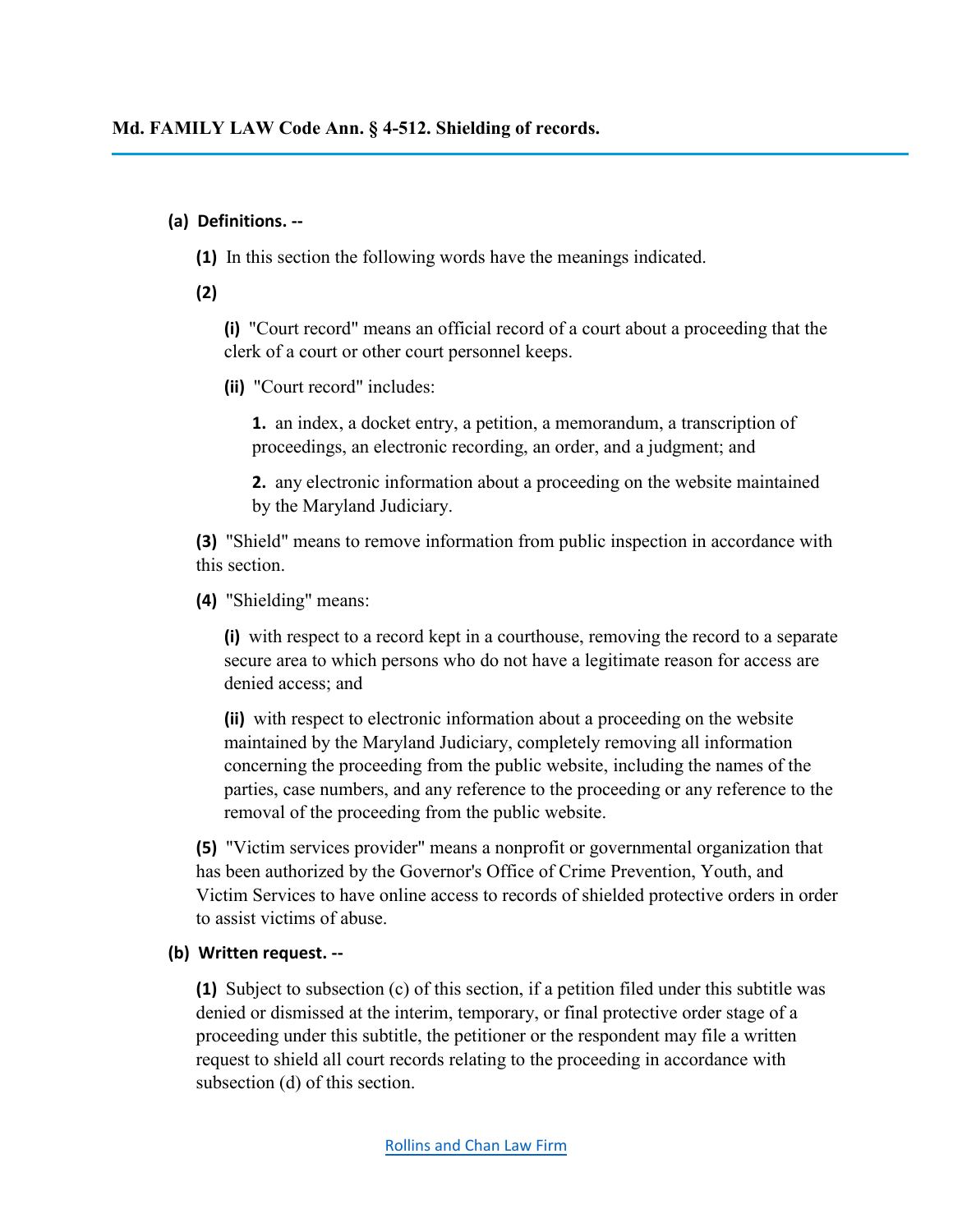### **(a) Definitions. --**

**(1)** In this section the following words have the meanings indicated.

**(2)** 

**(i)** "Court record" means an official record of a court about a proceeding that the clerk of a court or other court personnel keeps.

**(ii)** "Court record" includes:

**1.** an index, a docket entry, a petition, a memorandum, a transcription of proceedings, an electronic recording, an order, and a judgment; and

**2.** any electronic information about a proceeding on the website maintained by the Maryland Judiciary.

**(3)** "Shield" means to remove information from public inspection in accordance with this section.

**(4)** "Shielding" means:

**(i)** with respect to a record kept in a courthouse, removing the record to a separate secure area to which persons who do not have a legitimate reason for access are denied access; and

**(ii)** with respect to electronic information about a proceeding on the website maintained by the Maryland Judiciary, completely removing all information concerning the proceeding from the public website, including the names of the parties, case numbers, and any reference to the proceeding or any reference to the removal of the proceeding from the public website.

**(5)** "Victim services provider" means a nonprofit or governmental organization that has been authorized by the Governor's Office of Crime Prevention, Youth, and Victim Services to have online access to records of shielded protective orders in order to assist victims of abuse.

## **(b) Written request. --**

**(1)** Subject to subsection (c) of this section, if a petition filed under this subtitle was denied or dismissed at the interim, temporary, or final protective order stage of a proceeding under this subtitle, the petitioner or the respondent may file a written request to shield all court records relating to the proceeding in accordance with subsection (d) of this section.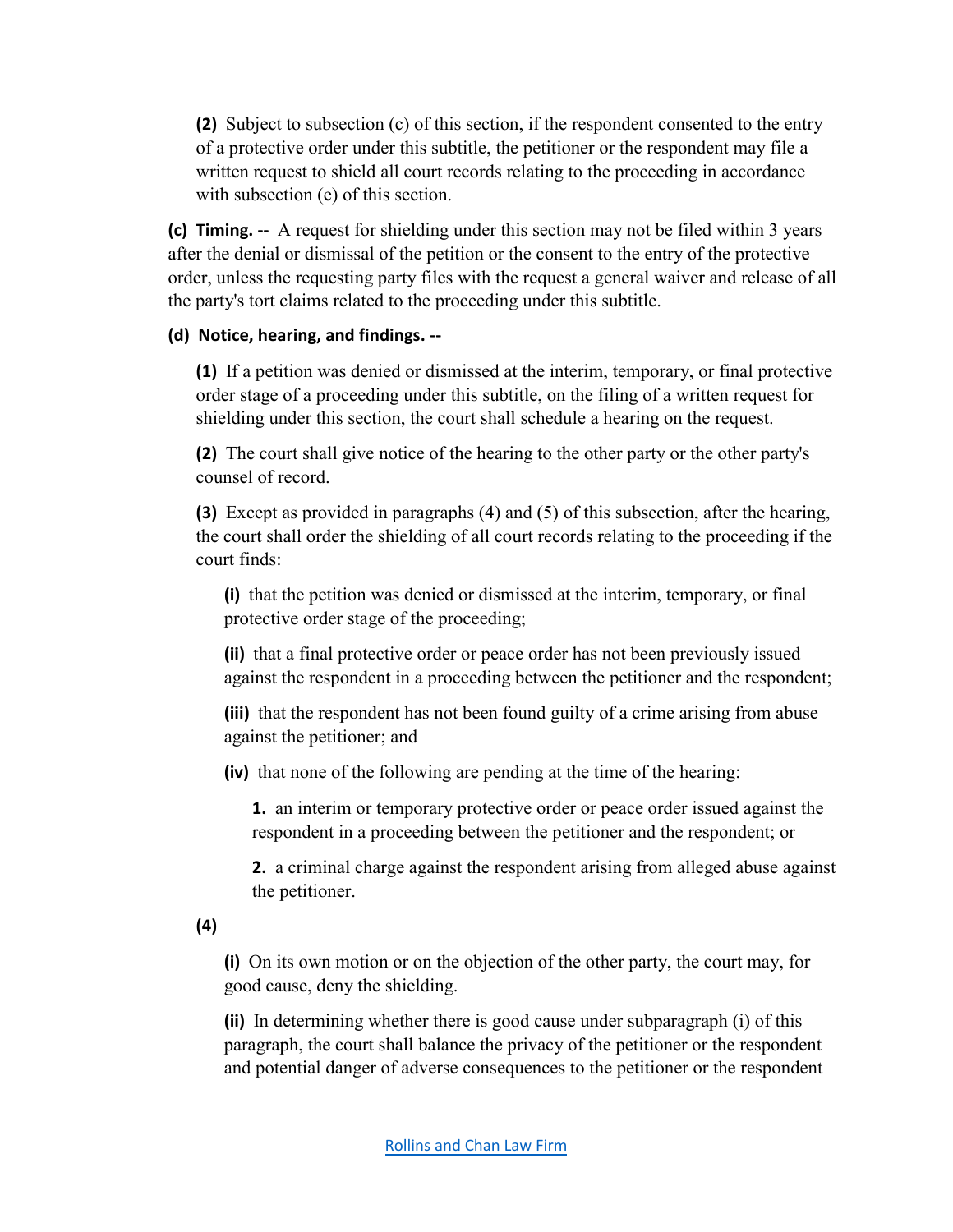**(2)** Subject to subsection (c) of this section, if the respondent consented to the entry of a protective order under this subtitle, the petitioner or the respondent may file a written request to shield all court records relating to the proceeding in accordance with subsection (e) of this section.

**(c) Timing. --** A request for shielding under this section may not be filed within 3 years after the denial or dismissal of the petition or the consent to the entry of the protective order, unless the requesting party files with the request a general waiver and release of all the party's tort claims related to the proceeding under this subtitle.

#### **(d) Notice, hearing, and findings. --**

**(1)** If a petition was denied or dismissed at the interim, temporary, or final protective order stage of a proceeding under this subtitle, on the filing of a written request for shielding under this section, the court shall schedule a hearing on the request.

**(2)** The court shall give notice of the hearing to the other party or the other party's counsel of record.

**(3)** Except as provided in paragraphs (4) and (5) of this subsection, after the hearing, the court shall order the shielding of all court records relating to the proceeding if the court finds:

**(i)** that the petition was denied or dismissed at the interim, temporary, or final protective order stage of the proceeding;

**(ii)** that a final protective order or peace order has not been previously issued against the respondent in a proceeding between the petitioner and the respondent;

**(iii)** that the respondent has not been found guilty of a crime arising from abuse against the petitioner; and

**(iv)** that none of the following are pending at the time of the hearing:

**1.** an interim or temporary protective order or peace order issued against the respondent in a proceeding between the petitioner and the respondent; or

**2.** a criminal charge against the respondent arising from alleged abuse against the petitioner.

**(4)** 

**(i)** On its own motion or on the objection of the other party, the court may, for good cause, deny the shielding.

**(ii)** In determining whether there is good cause under subparagraph (i) of this paragraph, the court shall balance the privacy of the petitioner or the respondent and potential danger of adverse consequences to the petitioner or the respondent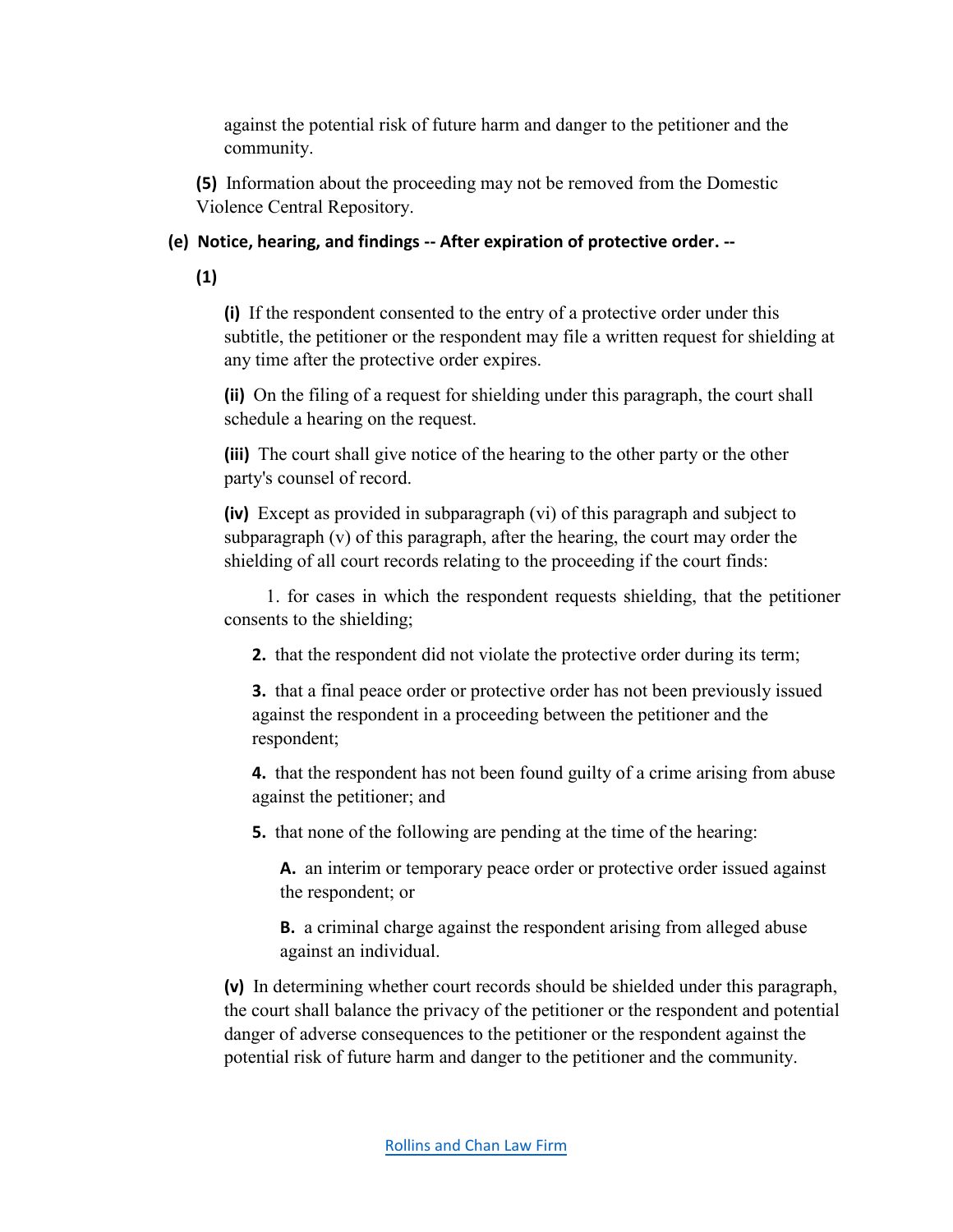against the potential risk of future harm and danger to the petitioner and the community.

**(5)** Information about the proceeding may not be removed from the Domestic Violence Central Repository.

## **(e) Notice, hearing, and findings -- After expiration of protective order. --**

**(1)**

**(i)** If the respondent consented to the entry of a protective order under this subtitle, the petitioner or the respondent may file a written request for shielding at any time after the protective order expires.

**(ii)** On the filing of a request for shielding under this paragraph, the court shall schedule a hearing on the request.

**(iii)** The court shall give notice of the hearing to the other party or the other party's counsel of record.

**(iv)** Except as provided in subparagraph (vi) of this paragraph and subject to subparagraph (v) of this paragraph, after the hearing, the court may order the shielding of all court records relating to the proceeding if the court finds:

1. for cases in which the respondent requests shielding, that the petitioner consents to the shielding;

**2.** that the respondent did not violate the protective order during its term;

**3.** that a final peace order or protective order has not been previously issued against the respondent in a proceeding between the petitioner and the respondent;

**4.** that the respondent has not been found guilty of a crime arising from abuse against the petitioner; and

**5.** that none of the following are pending at the time of the hearing:

**A.** an interim or temporary peace order or protective order issued against the respondent; or

**B.** a criminal charge against the respondent arising from alleged abuse against an individual.

**(v)** In determining whether court records should be shielded under this paragraph, the court shall balance the privacy of the petitioner or the respondent and potential danger of adverse consequences to the petitioner or the respondent against the potential risk of future harm and danger to the petitioner and the community.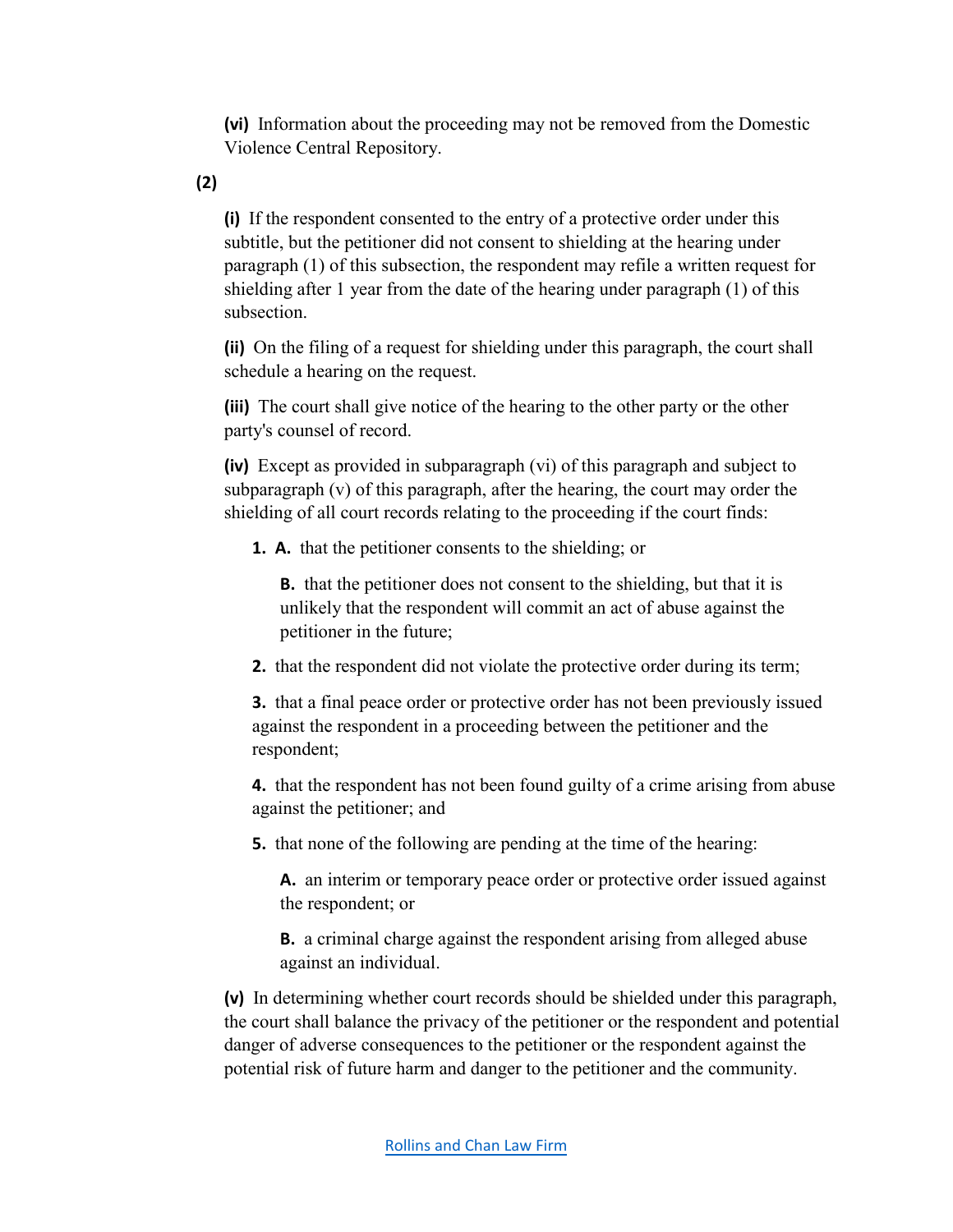**(vi)** Information about the proceeding may not be removed from the Domestic Violence Central Repository.

**(2)** 

**(i)** If the respondent consented to the entry of a protective order under this subtitle, but the petitioner did not consent to shielding at the hearing under paragraph (1) of this subsection, the respondent may refile a written request for shielding after 1 year from the date of the hearing under paragraph (1) of this subsection.

**(ii)** On the filing of a request for shielding under this paragraph, the court shall schedule a hearing on the request.

**(iii)** The court shall give notice of the hearing to the other party or the other party's counsel of record.

**(iv)** Except as provided in subparagraph (vi) of this paragraph and subject to subparagraph (v) of this paragraph, after the hearing, the court may order the shielding of all court records relating to the proceeding if the court finds:

**1. A.** that the petitioner consents to the shielding; or

**B.** that the petitioner does not consent to the shielding, but that it is unlikely that the respondent will commit an act of abuse against the petitioner in the future;

**2.** that the respondent did not violate the protective order during its term;

**3.** that a final peace order or protective order has not been previously issued against the respondent in a proceeding between the petitioner and the respondent;

**4.** that the respondent has not been found guilty of a crime arising from abuse against the petitioner; and

**5.** that none of the following are pending at the time of the hearing:

**A.** an interim or temporary peace order or protective order issued against the respondent; or

**B.** a criminal charge against the respondent arising from alleged abuse against an individual.

**(v)** In determining whether court records should be shielded under this paragraph, the court shall balance the privacy of the petitioner or the respondent and potential danger of adverse consequences to the petitioner or the respondent against the potential risk of future harm and danger to the petitioner and the community.